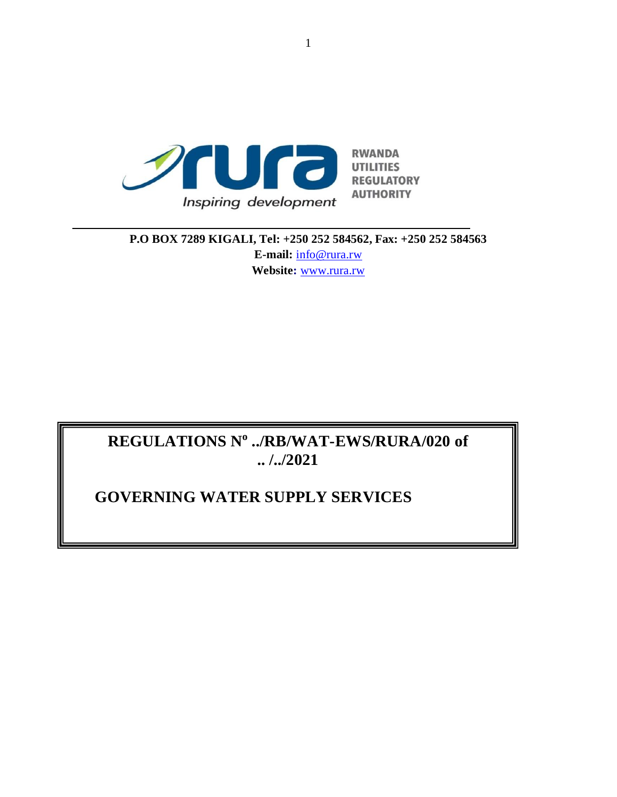

**P.O BOX 7289 KIGALI, Tel: +250 252 584562, Fax: +250 252 584563 E-mail:** [info@rura.rw](mailto:info@rura.rw) **Website:** [www.rura.rw](http://www.rura.rw/)

# **REGULATIONS N<sup>o</sup> ../RB/WAT-EWS/RURA/020 of .. /../2021**

# **GOVERNING WATER SUPPLY SERVICES**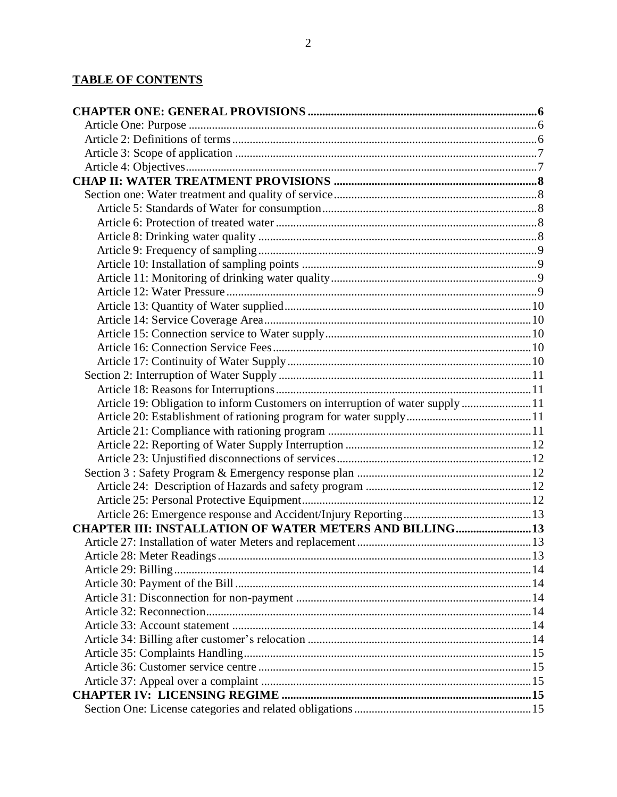# **TABLE OF CONTENTS**

| Article 19: Obligation to inform Customers on interruption of water supply 11 |    |
|-------------------------------------------------------------------------------|----|
|                                                                               |    |
|                                                                               |    |
|                                                                               |    |
|                                                                               |    |
|                                                                               |    |
|                                                                               |    |
|                                                                               |    |
|                                                                               |    |
| <b>CHAPTER III: INSTALLATION OF WATER METERS AND BILLING  13</b>              |    |
|                                                                               |    |
|                                                                               | 13 |
|                                                                               |    |
|                                                                               |    |
|                                                                               |    |
|                                                                               |    |
|                                                                               |    |
|                                                                               |    |
|                                                                               |    |
|                                                                               |    |
|                                                                               |    |
|                                                                               |    |
|                                                                               |    |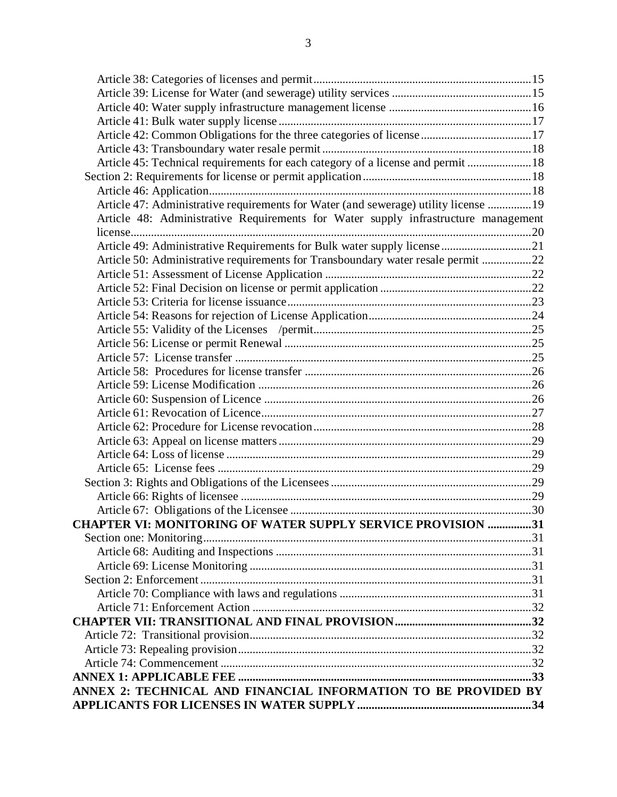| Article 45: Technical requirements for each category of a license and permit  18    |  |
|-------------------------------------------------------------------------------------|--|
|                                                                                     |  |
|                                                                                     |  |
| Article 47: Administrative requirements for Water (and sewerage) utility license 19 |  |
| Article 48: Administrative Requirements for Water supply infrastructure management  |  |
|                                                                                     |  |
| Article 49: Administrative Requirements for Bulk water supply license 21            |  |
| Article 50: Administrative requirements for Transboundary water resale permit 22    |  |
|                                                                                     |  |
|                                                                                     |  |
|                                                                                     |  |
|                                                                                     |  |
|                                                                                     |  |
|                                                                                     |  |
|                                                                                     |  |
|                                                                                     |  |
|                                                                                     |  |
|                                                                                     |  |
|                                                                                     |  |
|                                                                                     |  |
|                                                                                     |  |
|                                                                                     |  |
|                                                                                     |  |
|                                                                                     |  |
|                                                                                     |  |
|                                                                                     |  |
| <b>CHAPTER VI: MONITORING OF WATER SUPPLY SERVICE PROVISION 31</b>                  |  |
|                                                                                     |  |
|                                                                                     |  |
|                                                                                     |  |
|                                                                                     |  |
|                                                                                     |  |
|                                                                                     |  |
|                                                                                     |  |
|                                                                                     |  |
|                                                                                     |  |
|                                                                                     |  |
|                                                                                     |  |
| ANNEX 2: TECHNICAL AND FINANCIAL INFORMATION TO BE PROVIDED BY                      |  |
|                                                                                     |  |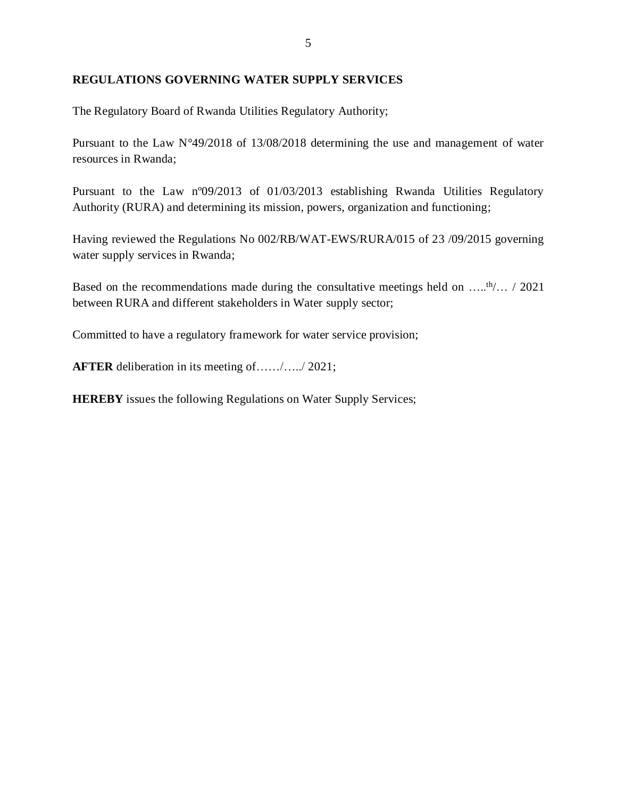#### **REGULATIONS GOVERNING WATER SUPPLY SERVICES**

The Regulatory Board of Rwanda Utilities Regulatory Authority;

Pursuant to the Law N°49/2018 of 13/08/2018 determining the use and management of water resources in Rwanda;

Pursuant to the Law nº09/2013 of 01/03/2013 establishing Rwanda Utilities Regulatory Authority (RURA) and determining its mission, powers, organization and functioning;

Having reviewed the Regulations No 002/RB/WAT-EWS/RURA/015 of 23 /09/2015 governing water supply services in Rwanda;

Based on the recommendations made during the consultative meetings held on  $\dots$ th/ $\dots$  / 2021 between RURA and different stakeholders in Water supply sector;

Committed to have a regulatory framework for water service provision;

**AFTER** deliberation in its meeting of……/…../ 2021;

**HEREBY** issues the following Regulations on Water Supply Services;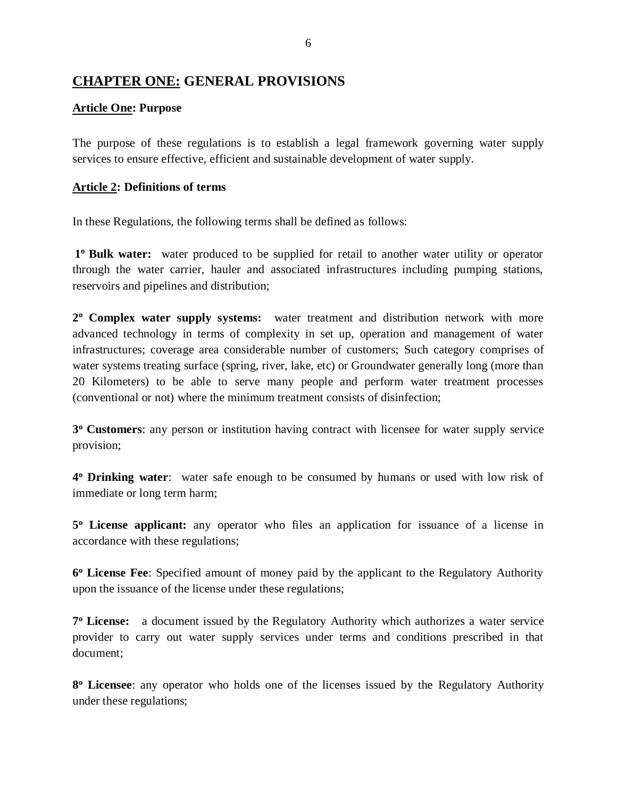# <span id="page-5-0"></span>**CHAPTER ONE: GENERAL PROVISIONS**

#### <span id="page-5-1"></span>**Article One: Purpose**

The purpose of these regulations is to establish a legal framework governing water supply services to ensure effective, efficient and sustainable development of water supply.

#### <span id="page-5-2"></span>**Article 2: Definitions of terms**

In these Regulations, the following terms shall be defined as follows:

1<sup>o</sup> Bulk water: water produced to be supplied for retail to another water utility or operator through the water carrier, hauler and associated infrastructures including pumping stations, reservoirs and pipelines and distribution;

**2 <sup>o</sup> Complex water supply systems:** water treatment and distribution network with more advanced technology in terms of complexity in set up, operation and management of water infrastructures; coverage area considerable number of customers; Such category comprises of water systems treating surface (spring, river, lake, etc) or Groundwater generally long (more than 20 Kilometers) to be able to serve many people and perform water treatment processes (conventional or not) where the minimum treatment consists of disinfection;

**3 <sup>o</sup> Customers**: any person or institution having contract with licensee for water supply service provision;

**4 <sup>o</sup> Drinking water**: [water](http://en.wikipedia.org/wiki/Water) safe enough to be consumed by humans or used with low risk of immediate or long term harm;

**5 <sup>o</sup> License applicant:** any operator who files an application for issuance of a license in accordance with these regulations;

**6 <sup>o</sup> License Fee**: Specified amount of money paid by the applicant to the Regulatory Authority upon the issuance of the license under these regulations;

**7 <sup>o</sup> License:** a document issued by the Regulatory Authority which authorizes a water service provider to carry out water supply services under terms and conditions prescribed in that document;

**8 <sup>o</sup> Licensee**: any operator who holds one of the licenses issued by the Regulatory Authority under these regulations;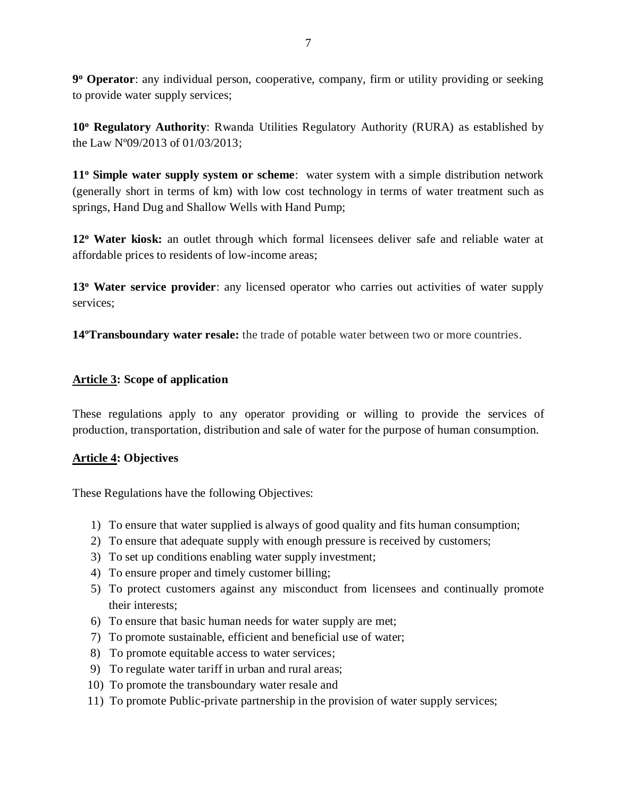**9 <sup>o</sup> Operator**: any individual person, cooperative, company, firm or utility providing or seeking to provide water supply services;

**10<sup>o</sup> Regulatory Authority**: Rwanda Utilities Regulatory Authority (RURA) as established by the Law Nº09/2013 of 01/03/2013;

**11<sup>o</sup> Simple water supply system or scheme**: water system with a simple distribution network (generally short in terms of km) with low cost technology in terms of water treatment such as springs, Hand Dug and Shallow Wells with Hand Pump;

**12<sup>o</sup> Water kiosk:** an outlet through which formal licensees deliver safe and reliable water at affordable prices to residents of low-income areas;

**13<sup>o</sup> Water service provider**: any licensed operator who carries out activities of water supply services;

**14ºTransboundary water resale:** the trade of potable water between two or more countries.

### <span id="page-6-0"></span>**Article 3: Scope of application**

These regulations apply to any operator providing or willing to provide the services of production, transportation, distribution and sale of water for the purpose of human consumption.

### <span id="page-6-1"></span>**Article 4: Objectives**

These Regulations have the following Objectives:

- 1) To ensure that water supplied is always of good quality and fits human consumption;
- 2) To ensure that adequate supply with enough pressure is received by customers;
- 3) To set up conditions enabling water supply investment;
- 4) To ensure proper and timely customer billing;
- 5) To protect customers against any misconduct from licensees and continually promote their interests;
- 6) To ensure that basic human needs for water supply are met;
- 7) To promote sustainable, efficient and beneficial use of water;
- 8) To promote equitable access to water services;
- 9) To regulate water tariff in urban and rural areas;
- 10) To promote the transboundary water resale and
- 11) To promote Public-private partnership in the provision of water supply services;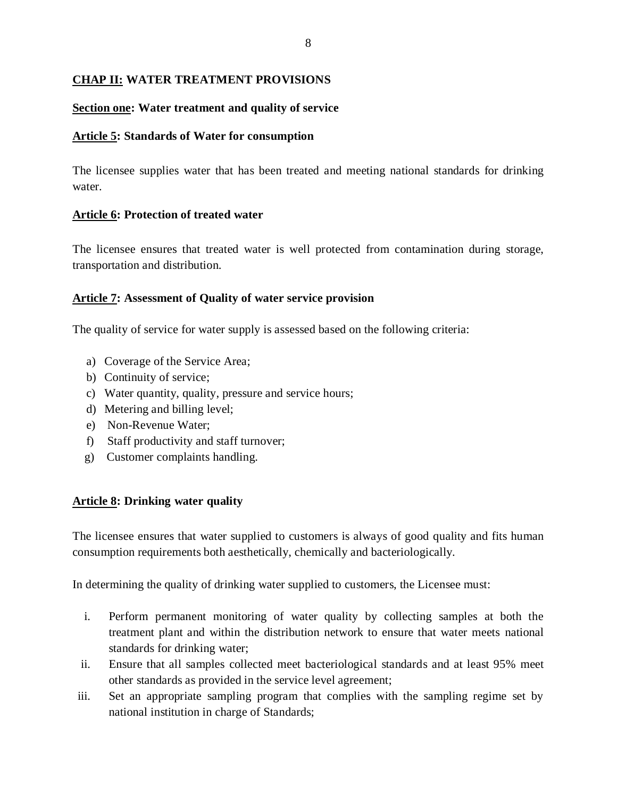### <span id="page-7-0"></span>**CHAP II: WATER TREATMENT PROVISIONS**

#### <span id="page-7-1"></span>**Section one: Water treatment and quality of service**

#### <span id="page-7-2"></span>**Article 5: Standards of Water for consumption**

The licensee supplies water that has been treated and meeting national standards for drinking water.

#### <span id="page-7-3"></span>**Article 6: Protection of treated water**

The licensee ensures that treated water is well protected from contamination during storage, transportation and distribution.

#### **Article 7: Assessment of Quality of water service provision**

The quality of service for water supply is assessed based on the following criteria:

- a) Coverage of the Service Area;
- b) Continuity of service;
- c) Water quantity, quality, pressure and service hours;
- d) Metering and billing level;
- e) Non-Revenue Water;
- f) Staff productivity and staff turnover;
- g) Customer complaints handling.

#### <span id="page-7-4"></span>**Article 8: Drinking water quality**

The licensee ensures that water supplied to customers is always of good quality and fits human consumption requirements both aesthetically, chemically and bacteriologically.

In determining the quality of drinking water supplied to customers, the Licensee must:

- i. Perform permanent monitoring of water quality by collecting samples at both the treatment plant and within the distribution network to ensure that water meets national standards for drinking water;
- ii. Ensure that all samples collected meet bacteriological standards and at least 95% meet other standards as provided in the service level agreement;
- iii. Set an appropriate sampling program that complies with the sampling regime set by national institution in charge of Standards;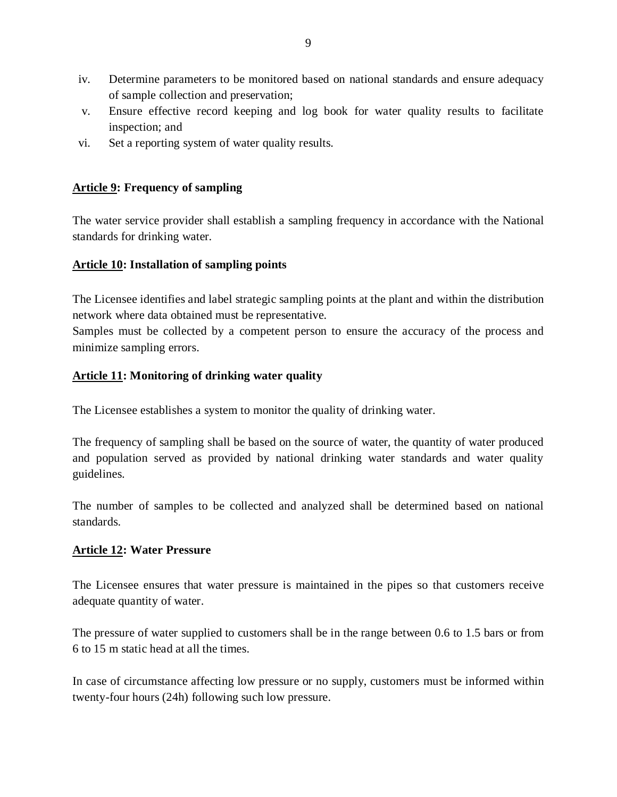- iv. Determine parameters to be monitored based on national standards and ensure adequacy of sample collection and preservation;
- v. Ensure effective record keeping and log book for water quality results to facilitate inspection; and
- vi. Set a reporting system of water quality results.

### <span id="page-8-0"></span>**Article 9: Frequency of sampling**

The water service provider shall establish a sampling frequency in accordance with the National standards for drinking water.

### <span id="page-8-1"></span>**Article 10: Installation of sampling points**

The Licensee identifies and label strategic sampling points at the plant and within the distribution network where data obtained must be representative.

Samples must be collected by a competent person to ensure the accuracy of the process and minimize sampling errors.

### <span id="page-8-2"></span>**Article 11: Monitoring of drinking water quality**

The Licensee establishes a system to monitor the quality of drinking water.

The frequency of sampling shall be based on the source of water, the quantity of water produced and population served as provided by national drinking water standards and water quality guidelines.

The number of samples to be collected and analyzed shall be determined based on national standards.

### <span id="page-8-3"></span>**Article 12: Water Pressure**

The Licensee ensures that water pressure is maintained in the pipes so that customers receive adequate quantity of water.

The pressure of water supplied to customers shall be in the range between 0.6 to 1.5 bars or from 6 to 15 m static head at all the times.

In case of circumstance affecting low pressure or no supply, customers must be informed within twenty-four hours (24h) following such low pressure.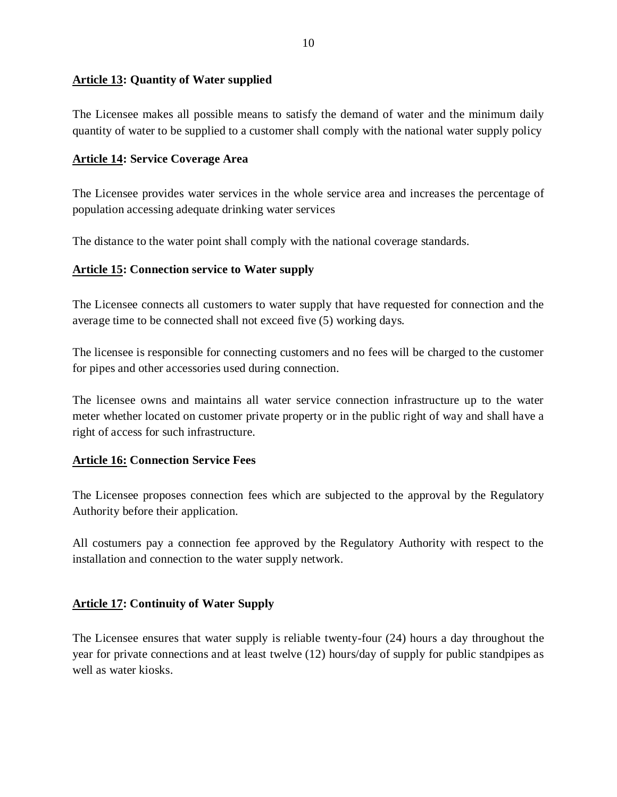#### <span id="page-9-0"></span>**Article 13: Quantity of Water supplied**

The Licensee makes all possible means to satisfy the demand of water and the minimum daily quantity of water to be supplied to a customer shall comply with the national water supply policy

#### <span id="page-9-1"></span>**Article 14: Service Coverage Area**

The Licensee provides water services in the whole service area and increases the percentage of population accessing adequate drinking water services

The distance to the water point shall comply with the national coverage standards.

### <span id="page-9-2"></span>**Article 15: Connection service to Water supply**

The Licensee connects all customers to water supply that have requested for connection and the average time to be connected shall not exceed five (5) working days.

The licensee is responsible for connecting customers and no fees will be charged to the customer for pipes and other accessories used during connection.

The licensee owns and maintains all water service connection infrastructure up to the water meter whether located on customer private property or in the public right of way and shall have a right of access for such infrastructure.

### <span id="page-9-3"></span>**Article 16: Connection Service Fees**

The Licensee proposes connection fees which are subjected to the approval by the Regulatory Authority before their application.

All costumers pay a connection fee approved by the Regulatory Authority with respect to the installation and connection to the water supply network.

### <span id="page-9-4"></span>**Article 17: Continuity of Water Supply**

The Licensee ensures that water supply is reliable twenty-four (24) hours a day throughout the year for private connections and at least twelve (12) hours/day of supply for public standpipes as well as water kiosks.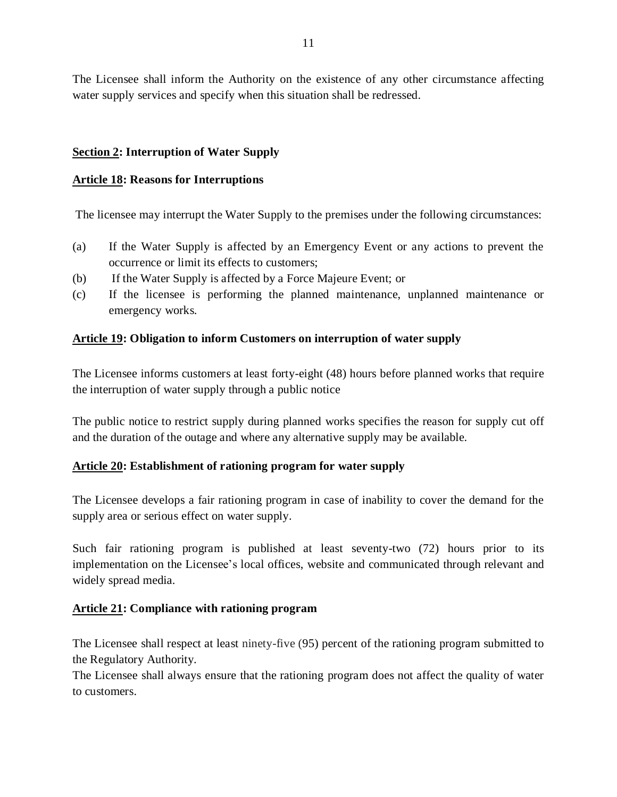The Licensee shall inform the Authority on the existence of any other circumstance affecting water supply services and specify when this situation shall be redressed.

### <span id="page-10-0"></span>**Section 2: Interruption of Water Supply**

#### <span id="page-10-1"></span>**Article 18: Reasons for Interruptions**

The licensee may interrupt the Water Supply to the premises under the following circumstances:

- (a) If the Water Supply is affected by an Emergency Event or any actions to prevent the occurrence or limit its effects to customers;
- (b) If the Water Supply is affected by a Force Majeure Event; or
- (c) If the licensee is performing the planned maintenance, unplanned maintenance or emergency works.

#### <span id="page-10-2"></span>**Article 19: Obligation to inform Customers on interruption of water supply**

The Licensee informs customers at least forty-eight (48) hours before planned works that require the interruption of water supply through a public notice

The public notice to restrict supply during planned works specifies the reason for supply cut off and the duration of the outage and where any alternative supply may be available.

#### <span id="page-10-3"></span>**Article 20: Establishment of rationing program for water supply**

The Licensee develops a fair rationing program in case of inability to cover the demand for the supply area or serious effect on water supply.

Such fair rationing program is published at least seventy-two (72) hours prior to its implementation on the Licensee's local offices, website and communicated through relevant and widely spread media.

### <span id="page-10-4"></span>**Article 21: Compliance with rationing program**

The Licensee shall respect at least ninety-five (95) percent of the rationing program submitted to the Regulatory Authority.

The Licensee shall always ensure that the rationing program does not affect the quality of water to customers.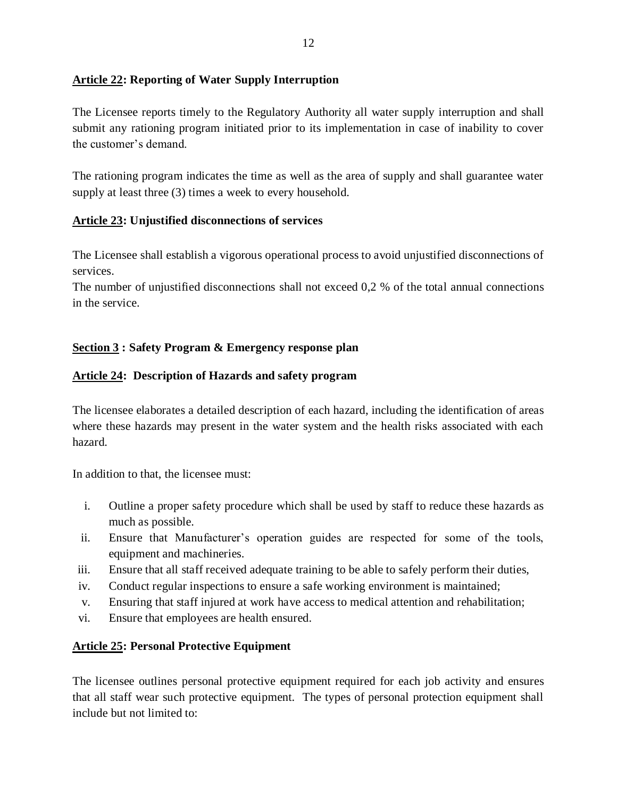### <span id="page-11-0"></span>**Article 22: Reporting of Water Supply Interruption**

The Licensee reports timely to the Regulatory Authority all water supply interruption and shall submit any rationing program initiated prior to its implementation in case of inability to cover the customer's demand.

The rationing program indicates the time as well as the area of supply and shall guarantee water supply at least three (3) times a week to every household.

### <span id="page-11-1"></span>**Article 23: Unjustified disconnections of services**

The Licensee shall establish a vigorous operational process to avoid unjustified disconnections of services.

The number of unjustified disconnections shall not exceed 0,2 % of the total annual connections in the service.

### <span id="page-11-2"></span>**Section 3 : Safety Program & Emergency response plan**

### <span id="page-11-3"></span>**Article 24: Description of Hazards and safety program**

The licensee elaborates a detailed description of each hazard, including the identification of areas where these hazards may present in the water system and the health risks associated with each hazard.

In addition to that, the licensee must:

- i. Outline a proper safety procedure which shall be used by staff to reduce these hazards as much as possible.
- ii. Ensure that Manufacturer's operation guides are respected for some of the tools, equipment and machineries.
- iii. Ensure that all staff received adequate training to be able to safely perform their duties,
- iv. Conduct regular inspections to ensure a safe working environment is maintained;
- v. Ensuring that staff injured at work have access to medical attention and rehabilitation;
- vi. Ensure that employees are health ensured.

### <span id="page-11-4"></span>**Article 25: Personal Protective Equipment**

The licensee outlines personal protective equipment required for each job activity and ensures that all staff wear such protective equipment. The types of personal protection equipment shall include but not limited to: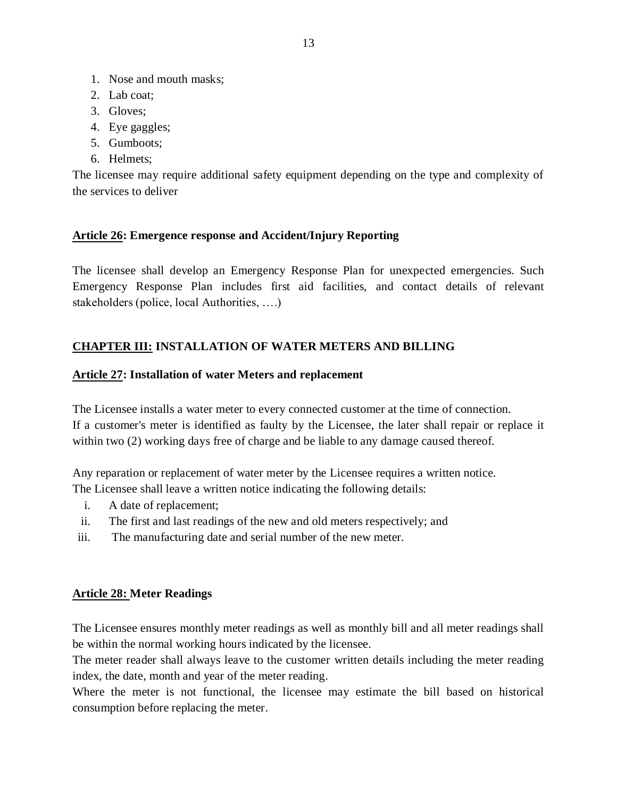- 1. Nose and mouth masks;
- 2. Lab coat;
- 3. Gloves;
- 4. Eye gaggles;
- 5. Gumboots;
- 6. Helmets;

The licensee may require additional safety equipment depending on the type and complexity of the services to deliver

### <span id="page-12-0"></span>**Article 26: Emergence response and Accident/Injury Reporting**

The licensee shall develop an Emergency Response Plan for unexpected emergencies. Such Emergency Response Plan includes first aid facilities, and contact details of relevant stakeholders (police, local Authorities, ….)

## <span id="page-12-1"></span>**CHAPTER III: INSTALLATION OF WATER METERS AND BILLING**

#### <span id="page-12-2"></span>**Article 27: Installation of water Meters and replacement**

The Licensee installs a water meter to every connected customer at the time of connection. If a customer's meter is identified as faulty by the Licensee, the later shall repair or replace it within two (2) working days free of charge and be liable to any damage caused thereof.

Any reparation or replacement of water meter by the Licensee requires a written notice. The Licensee shall leave a written notice indicating the following details:

- i. A date of replacement;
- ii. The first and last readings of the new and old meters respectively; and
- iii. The manufacturing date and serial number of the new meter.

### <span id="page-12-3"></span>**Article 28: Meter Readings**

The Licensee ensures monthly meter readings as well as monthly bill and all meter readings shall be within the normal working hours indicated by the licensee.

The meter reader shall always leave to the customer written details including the meter reading index, the date, month and year of the meter reading.

Where the meter is not functional, the licensee may estimate the bill based on historical consumption before replacing the meter.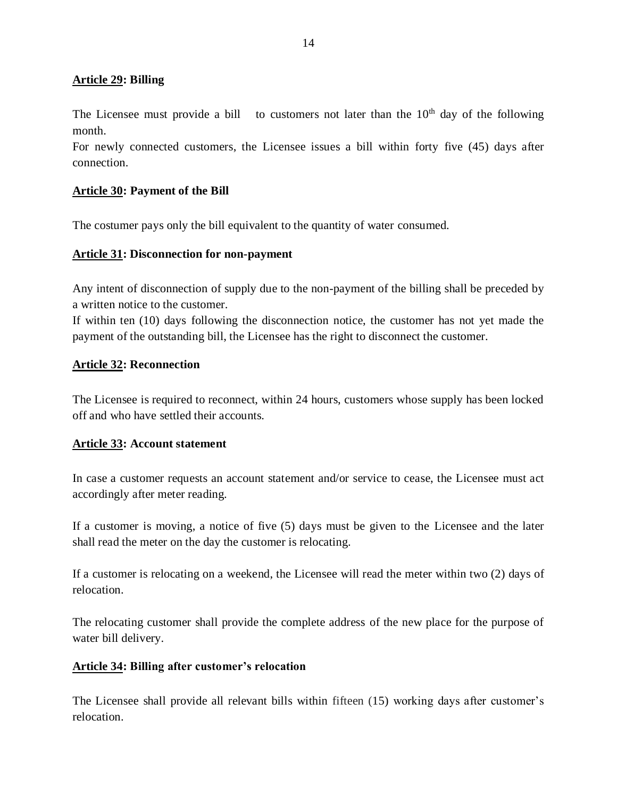#### <span id="page-13-0"></span>**Article 29: Billing**

The Licensee must provide a bill to customers not later than the  $10<sup>th</sup>$  day of the following month.

For newly connected customers, the Licensee issues a bill within forty five (45) days after connection.

#### <span id="page-13-1"></span>**Article 30: Payment of the Bill**

The costumer pays only the bill equivalent to the quantity of water consumed.

#### <span id="page-13-2"></span>**Article 31: Disconnection for non-payment**

Any intent of disconnection of supply due to the non-payment of the billing shall be preceded by a written notice to the customer.

If within ten (10) days following the disconnection notice, the customer has not yet made the payment of the outstanding bill, the Licensee has the right to disconnect the customer.

#### <span id="page-13-3"></span>**Article 32: Reconnection**

The Licensee is required to reconnect, within 24 hours, customers whose supply has been locked off and who have settled their accounts.

#### <span id="page-13-4"></span>**Article 33: Account statement**

In case a customer requests an account statement and/or service to cease, the Licensee must act accordingly after meter reading.

If a customer is moving, a notice of five (5) days must be given to the Licensee and the later shall read the meter on the day the customer is relocating.

If a customer is relocating on a weekend, the Licensee will read the meter within two (2) days of relocation.

The relocating customer shall provide the complete address of the new place for the purpose of water bill delivery.

#### <span id="page-13-5"></span>**Article 34: Billing after customer's relocation**

The Licensee shall provide all relevant bills within fifteen (15) working days after customer's relocation.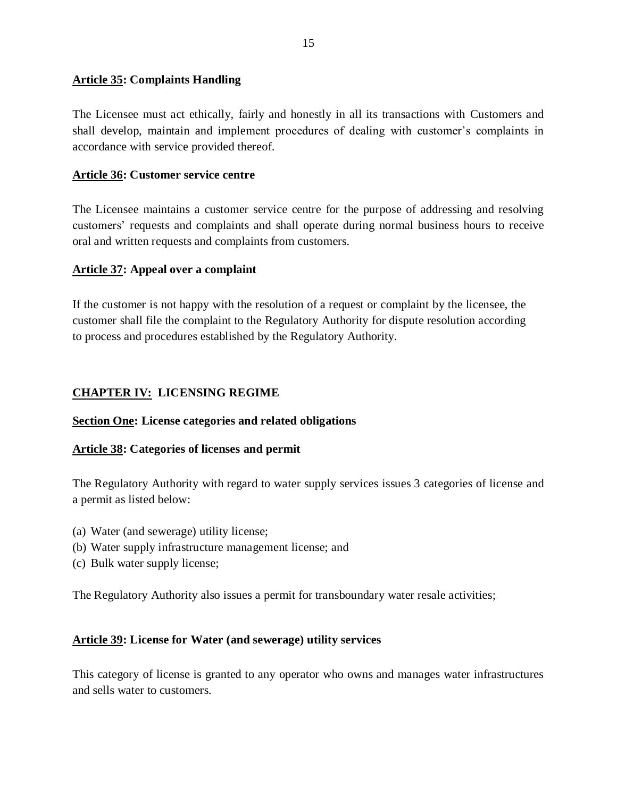#### <span id="page-14-0"></span>**Article 35: Complaints Handling**

The Licensee must act ethically, fairly and honestly in all its transactions with Customers and shall develop, maintain and implement procedures of dealing with customer's complaints in accordance with service provided thereof.

#### <span id="page-14-1"></span>**Article 36: Customer service centre**

The Licensee maintains a customer service centre for the purpose of addressing and resolving customers' requests and complaints and shall operate during normal business hours to receive oral and written requests and complaints from customers.

#### <span id="page-14-2"></span>**Article 37: Appeal over a complaint**

If the customer is not happy with the resolution of a request or complaint by the licensee, the customer shall file the complaint to the Regulatory Authority for dispute resolution according to process and procedures established by the Regulatory Authority.

### <span id="page-14-3"></span>**CHAPTER IV: LICENSING REGIME**

#### <span id="page-14-4"></span>**Section One: License categories and related obligations**

#### <span id="page-14-5"></span>**Article 38: Categories of licenses and permit**

The Regulatory Authority with regard to water supply services issues 3 categories of license and a permit as listed below:

- (a) Water (and sewerage) utility license;
- (b) Water supply infrastructure management license; and
- (c) Bulk water supply license;

The Regulatory Authority also issues a permit for transboundary water resale activities;

#### <span id="page-14-6"></span>**Article 39: License for Water (and sewerage) utility services**

This category of license is granted to any operator who owns and manages water infrastructures and sells water to customers.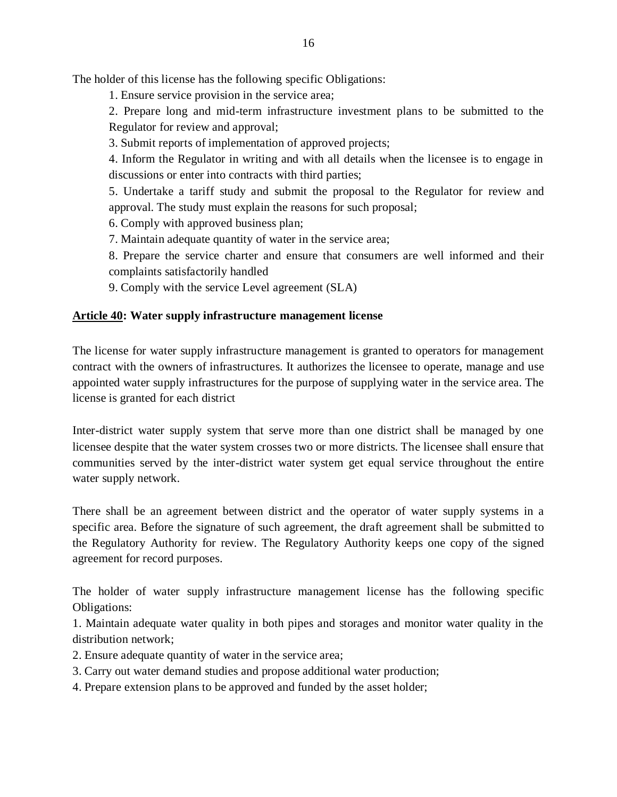The holder of this license has the following specific Obligations:

1. Ensure service provision in the service area;

2. Prepare long and mid-term infrastructure investment plans to be submitted to the Regulator for review and approval;

3. Submit reports of implementation of approved projects;

4. Inform the Regulator in writing and with all details when the licensee is to engage in discussions or enter into contracts with third parties;

5. Undertake a tariff study and submit the proposal to the Regulator for review and approval. The study must explain the reasons for such proposal;

6. Comply with approved business plan;

7. Maintain adequate quantity of water in the service area;

8. Prepare the service charter and ensure that consumers are well informed and their complaints satisfactorily handled

9. Comply with the service Level agreement (SLA)

#### <span id="page-15-0"></span>**Article 40: Water supply infrastructure management license**

The license for water supply infrastructure management is granted to operators for management contract with the owners of infrastructures. It authorizes the licensee to operate, manage and use appointed water supply infrastructures for the purpose of supplying water in the service area. The license is granted for each district

Inter-district water supply system that serve more than one district shall be managed by one licensee despite that the water system crosses two or more districts. The licensee shall ensure that communities served by the inter-district water system get equal service throughout the entire water supply network.

There shall be an agreement between district and the operator of water supply systems in a specific area. Before the signature of such agreement, the draft agreement shall be submitted to the Regulatory Authority for review. The Regulatory Authority keeps one copy of the signed agreement for record purposes.

The holder of water supply infrastructure management license has the following specific Obligations:

1. Maintain adequate water quality in both pipes and storages and monitor water quality in the distribution network;

- 2. Ensure adequate quantity of water in the service area;
- 3. Carry out water demand studies and propose additional water production;
- 4. Prepare extension plans to be approved and funded by the asset holder;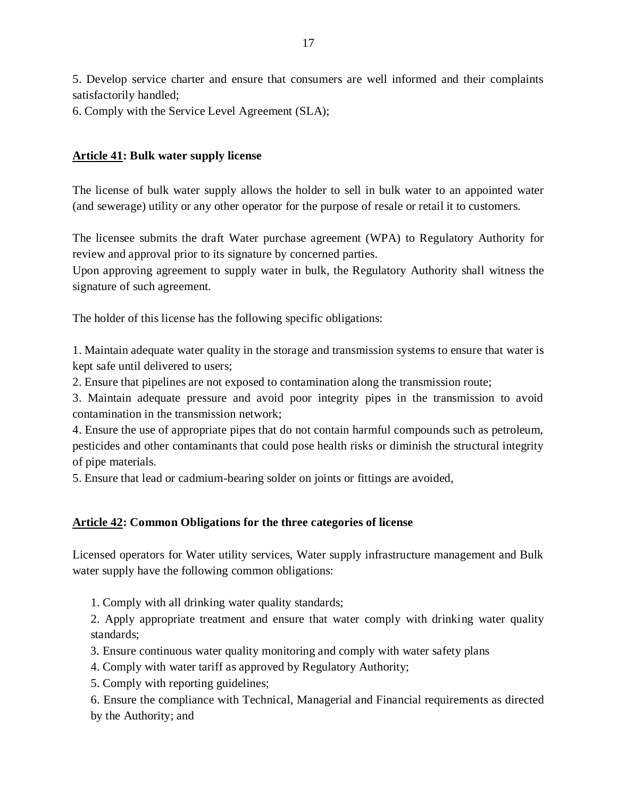5. Develop service charter and ensure that consumers are well informed and their complaints satisfactorily handled;

6. Comply with the Service Level Agreement (SLA);

### <span id="page-16-0"></span>**Article 41: Bulk water supply license**

The license of bulk water supply allows the holder to sell in bulk water to an appointed water (and sewerage) utility or any other operator for the purpose of resale or retail it to customers.

The licensee submits the draft Water purchase agreement (WPA) to Regulatory Authority for review and approval prior to its signature by concerned parties.

Upon approving agreement to supply water in bulk, the Regulatory Authority shall witness the signature of such agreement.

The holder of this license has the following specific obligations:

1. Maintain adequate water quality in the storage and transmission systems to ensure that water is kept safe until delivered to users;

2. Ensure that pipelines are not exposed to contamination along the transmission route;

3. Maintain adequate pressure and avoid poor integrity pipes in the transmission to avoid contamination in the transmission network;

4. Ensure the use of appropriate pipes that do not contain harmful compounds such as petroleum, pesticides and other contaminants that could pose health risks or diminish the structural integrity of pipe materials.

5. Ensure that lead or cadmium-bearing solder on joints or fittings are avoided,

### <span id="page-16-1"></span>**Article 42: Common Obligations for the three categories of license**

Licensed operators for Water utility services, Water supply infrastructure management and Bulk water supply have the following common obligations:

1. Comply with all drinking water quality standards;

2. Apply appropriate treatment and ensure that water comply with drinking water quality standards;

3. Ensure continuous water quality monitoring and comply with water safety plans

4. Comply with water tariff as approved by Regulatory Authority;

5. Comply with reporting guidelines;

6. Ensure the compliance with Technical, Managerial and Financial requirements as directed by the Authority; and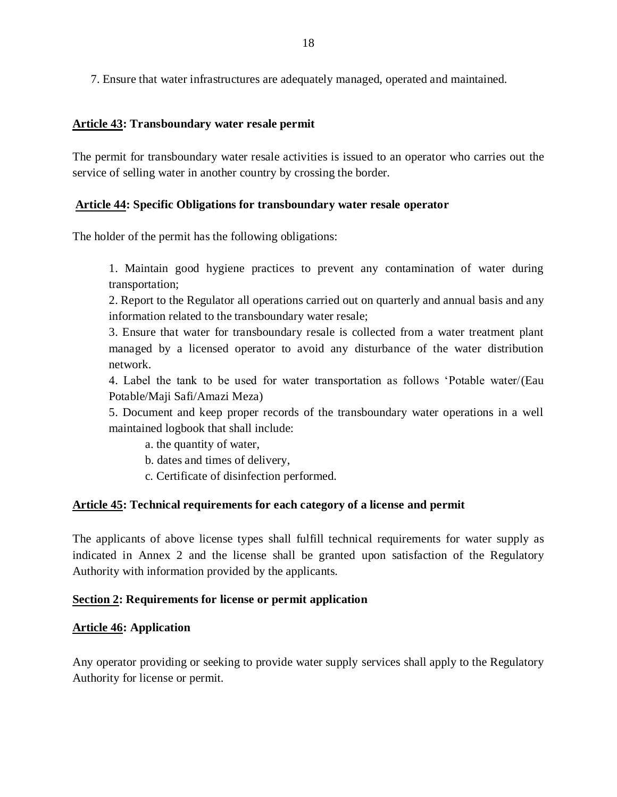7. Ensure that water infrastructures are adequately managed, operated and maintained.

#### <span id="page-17-0"></span>**Article 43: Transboundary water resale permit**

The permit for transboundary water resale activities is issued to an operator who carries out the service of selling water in another country by crossing the border.

### **Article 44: Specific Obligations for transboundary water resale operator**

The holder of the permit has the following obligations:

1. Maintain good hygiene practices to prevent any contamination of water during transportation;

2. Report to the Regulator all operations carried out on quarterly and annual basis and any information related to the transboundary water resale;

3. Ensure that water for transboundary resale is collected from a water treatment plant managed by a licensed operator to avoid any disturbance of the water distribution network.

4. Label the tank to be used for water transportation as follows 'Potable water/(Eau Potable/Maji Safi/Amazi Meza)

5. Document and keep proper records of the transboundary water operations in a well maintained logbook that shall include:

a. the quantity of water,

b. dates and times of delivery,

c. Certificate of disinfection performed.

### <span id="page-17-1"></span>**Article 45: Technical requirements for each category of a license and permit**

The applicants of above license types shall fulfill technical requirements for water supply as indicated in Annex 2 and the license shall be granted upon satisfaction of the Regulatory Authority with information provided by the applicants.

### <span id="page-17-2"></span>**Section 2: Requirements for license or permit application**

### <span id="page-17-3"></span>**Article 46: Application**

Any operator providing or seeking to provide water supply services shall apply to the Regulatory Authority for license or permit.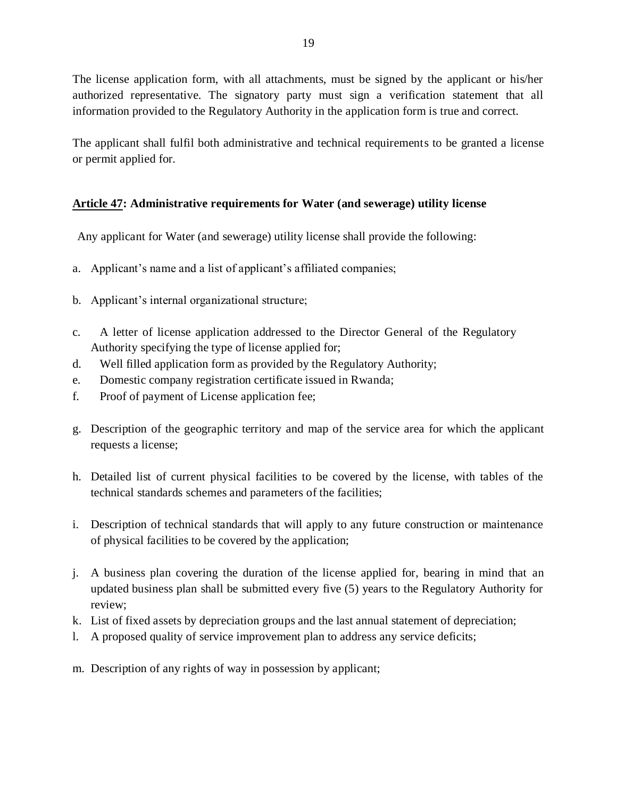The license application form, with all attachments, must be signed by the applicant or his/her authorized representative. The signatory party must sign a verification statement that all information provided to the Regulatory Authority in the application form is true and correct.

The applicant shall fulfil both administrative and technical requirements to be granted a license or permit applied for.

### <span id="page-18-0"></span>**Article 47: Administrative requirements for Water (and sewerage) utility license**

Any applicant for Water (and sewerage) utility license shall provide the following:

- a. Applicant's name and a list of applicant's affiliated companies;
- b. Applicant's internal organizational structure;
- c. A letter of license application addressed to the Director General of the Regulatory Authority specifying the type of license applied for;
- d. Well filled application form as provided by the Regulatory Authority;
- e. Domestic company registration certificate issued in Rwanda;
- f. Proof of payment of License application fee;
- g. Description of the geographic territory and map of the service area for which the applicant requests a license;
- h. Detailed list of current physical facilities to be covered by the license, with tables of the technical standards schemes and parameters of the facilities;
- i. Description of technical standards that will apply to any future construction or maintenance of physical facilities to be covered by the application;
- j. A business plan covering the duration of the license applied for, bearing in mind that an updated business plan shall be submitted every five (5) years to the Regulatory Authority for review;
- k. List of fixed assets by depreciation groups and the last annual statement of depreciation;
- l. A proposed quality of service improvement plan to address any service deficits;
- m. Description of any rights of way in possession by applicant;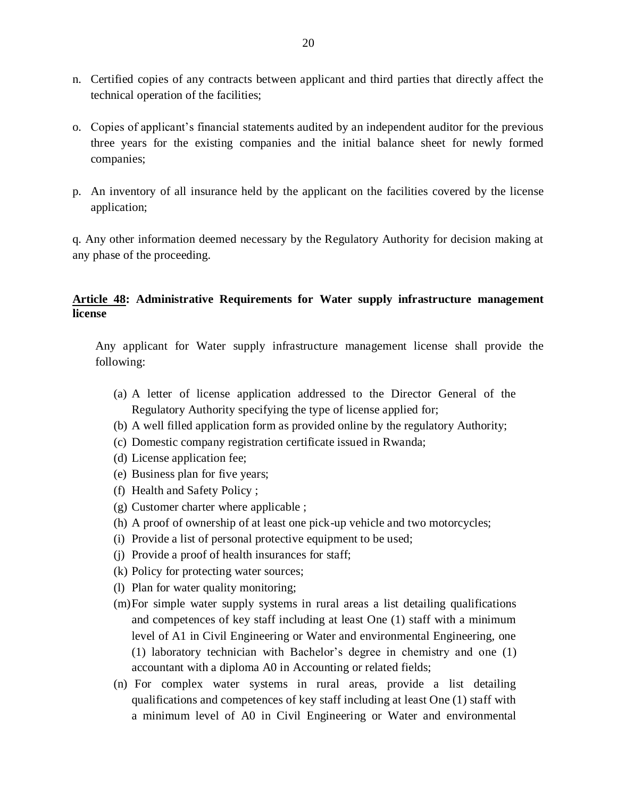- n. Certified copies of any contracts between applicant and third parties that directly affect the technical operation of the facilities;
- o. Copies of applicant's financial statements audited by an independent auditor for the previous three years for the existing companies and the initial balance sheet for newly formed companies;
- p. An inventory of all insurance held by the applicant on the facilities covered by the license application;

q. Any other information deemed necessary by the Regulatory Authority for decision making at any phase of the proceeding.

### <span id="page-19-0"></span>**Article 48: Administrative Requirements for Water supply infrastructure management license**

Any applicant for Water supply infrastructure management license shall provide the following:

- (a) A letter of license application addressed to the Director General of the Regulatory Authority specifying the type of license applied for;
- (b) A well filled application form as provided online by the regulatory Authority;
- (c) Domestic company registration certificate issued in Rwanda;
- (d) License application fee;
- (e) Business plan for five years;
- (f) Health and Safety Policy ;
- (g) Customer charter where applicable ;
- (h) A proof of ownership of at least one pick-up vehicle and two motorcycles;
- (i) Provide a list of personal protective equipment to be used;
- (j) Provide a proof of health insurances for staff;
- (k) Policy for protecting water sources;
- (l) Plan for water quality monitoring;
- (m)For simple water supply systems in rural areas a list detailing qualifications and competences of key staff including at least One (1) staff with a minimum level of A1 in Civil Engineering or Water and environmental Engineering, one (1) laboratory technician with Bachelor's degree in chemistry and one (1) accountant with a diploma A0 in Accounting or related fields;
- (n) For complex water systems in rural areas, provide a list detailing qualifications and competences of key staff including at least One (1) staff with a minimum level of A0 in Civil Engineering or Water and environmental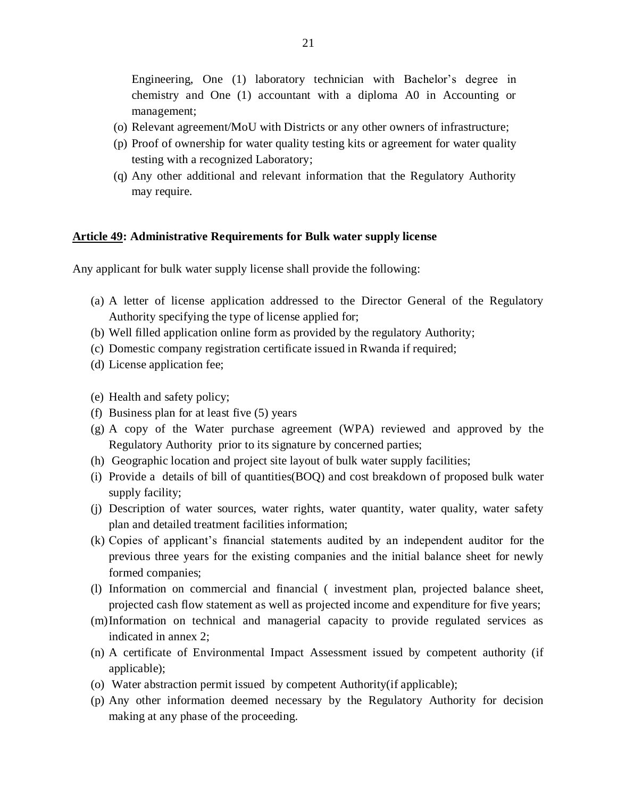Engineering, One (1) laboratory technician with Bachelor's degree in chemistry and One (1) accountant with a diploma A0 in Accounting or management;

- (o) Relevant agreement/MoU with Districts or any other owners of infrastructure;
- (p) Proof of ownership for water quality testing kits or agreement for water quality testing with a recognized Laboratory;
- (q) Any other additional and relevant information that the Regulatory Authority may require.

#### <span id="page-20-0"></span>**Article 49: Administrative Requirements for Bulk water supply license**

Any applicant for bulk water supply license shall provide the following:

- (a) A letter of license application addressed to the Director General of the Regulatory Authority specifying the type of license applied for;
- (b) Well filled application online form as provided by the regulatory Authority;
- (c) Domestic company registration certificate issued in Rwanda if required;
- (d) License application fee;
- (e) Health and safety policy;
- (f) Business plan for at least five (5) years
- (g) A copy of the Water purchase agreement (WPA) reviewed and approved by the Regulatory Authority prior to its signature by concerned parties;
- (h) Geographic location and project site layout of bulk water supply facilities;
- (i) Provide a details of bill of quantities(BOQ) and cost breakdown of proposed bulk water supply facility;
- (j) Description of water sources, water rights, water quantity, water quality, water safety plan and detailed treatment facilities information;
- (k) Copies of applicant's financial statements audited by an independent auditor for the previous three years for the existing companies and the initial balance sheet for newly formed companies;
- (l) Information on commercial and financial ( investment plan, projected balance sheet, projected cash flow statement as well as projected income and expenditure for five years;
- (m)Information on technical and managerial capacity to provide regulated services as indicated in annex 2;
- (n) A certificate of Environmental Impact Assessment issued by competent authority (if applicable);
- (o) Water abstraction permit issued by competent Authority(if applicable);
- (p) Any other information deemed necessary by the Regulatory Authority for decision making at any phase of the proceeding.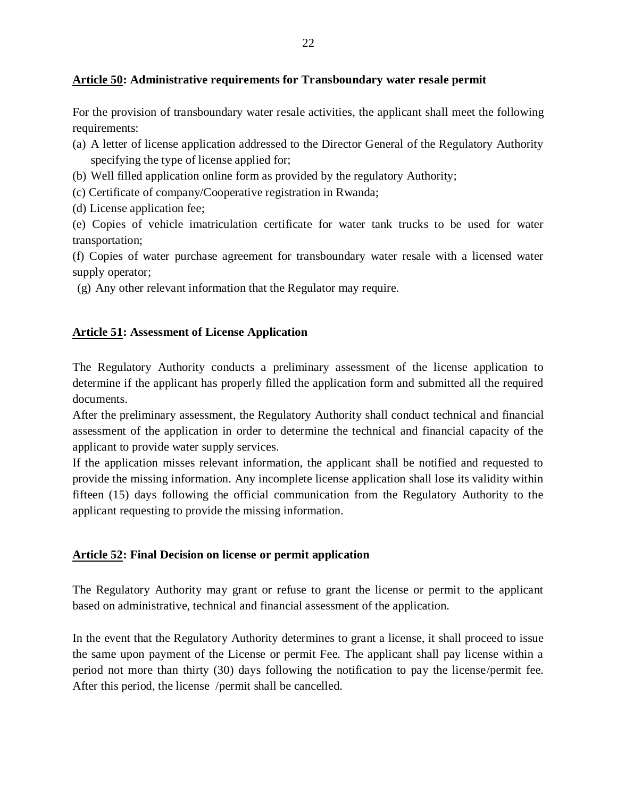#### <span id="page-21-0"></span>**Article 50: Administrative requirements for Transboundary water resale permit**

For the provision of transboundary water resale activities, the applicant shall meet the following requirements:

- (a) A letter of license application addressed to the Director General of the Regulatory Authority specifying the type of license applied for;
- (b) Well filled application online form as provided by the regulatory Authority;
- (c) Certificate of company/Cooperative registration in Rwanda;
- (d) License application fee;

(e) Copies of vehicle imatriculation certificate for water tank trucks to be used for water transportation;

(f) Copies of water purchase agreement for transboundary water resale with a licensed water supply operator;

(g) Any other relevant information that the Regulator may require.

### <span id="page-21-1"></span>**Article 51: Assessment of License Application**

The Regulatory Authority conducts a preliminary assessment of the license application to determine if the applicant has properly filled the application form and submitted all the required documents.

After the preliminary assessment, the Regulatory Authority shall conduct technical and financial assessment of the application in order to determine the technical and financial capacity of the applicant to provide water supply services.

If the application misses relevant information, the applicant shall be notified and requested to provide the missing information. Any incomplete license application shall lose its validity within fifteen (15) days following the official communication from the Regulatory Authority to the applicant requesting to provide the missing information.

### <span id="page-21-2"></span>**Article 52: Final Decision on license or permit application**

The Regulatory Authority may grant or refuse to grant the license or permit to the applicant based on administrative, technical and financial assessment of the application.

In the event that the Regulatory Authority determines to grant a license, it shall proceed to issue the same upon payment of the License or permit Fee. The applicant shall pay license within a period not more than thirty (30) days following the notification to pay the license/permit fee. After this period, the license /permit shall be cancelled.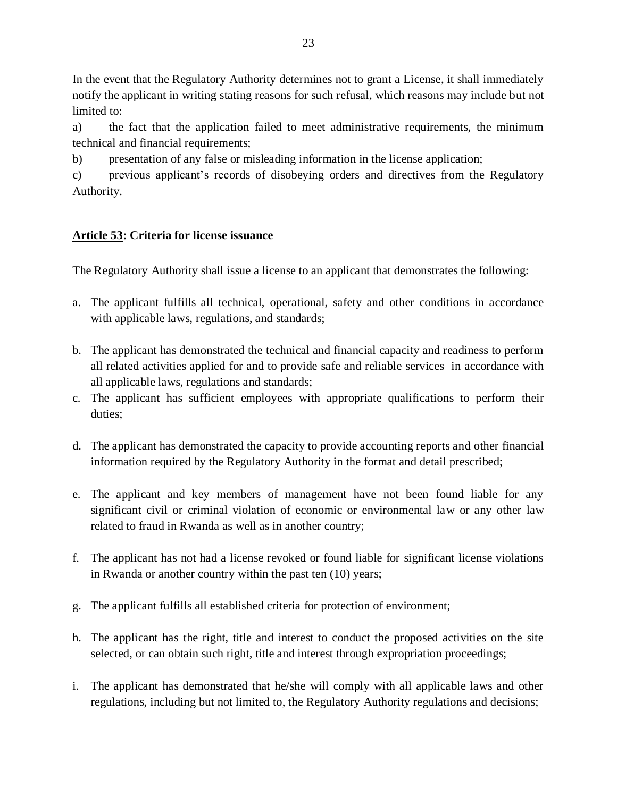In the event that the Regulatory Authority determines not to grant a License, it shall immediately notify the applicant in writing stating reasons for such refusal, which reasons may include but not limited to:

a) the fact that the application failed to meet administrative requirements, the minimum technical and financial requirements;

b) presentation of any false or misleading information in the license application;

c) previous applicant's records of disobeying orders and directives from the Regulatory Authority.

# <span id="page-22-0"></span>**Article 53: Criteria for license issuance**

The Regulatory Authority shall issue a license to an applicant that demonstrates the following:

- a. The applicant fulfills all technical, operational, safety and other conditions in accordance with applicable laws, regulations, and standards;
- b. The applicant has demonstrated the technical and financial capacity and readiness to perform all related activities applied for and to provide safe and reliable services in accordance with all applicable laws, regulations and standards;
- c. The applicant has sufficient employees with appropriate qualifications to perform their duties;
- d. The applicant has demonstrated the capacity to provide accounting reports and other financial information required by the Regulatory Authority in the format and detail prescribed;
- e. The applicant and key members of management have not been found liable for any significant civil or criminal violation of economic or environmental law or any other law related to fraud in Rwanda as well as in another country;
- f. The applicant has not had a license revoked or found liable for significant license violations in Rwanda or another country within the past ten (10) years;
- g. The applicant fulfills all established criteria for protection of environment;
- h. The applicant has the right, title and interest to conduct the proposed activities on the site selected, or can obtain such right, title and interest through expropriation proceedings;
- i. The applicant has demonstrated that he/she will comply with all applicable laws and other regulations, including but not limited to, the Regulatory Authority regulations and decisions;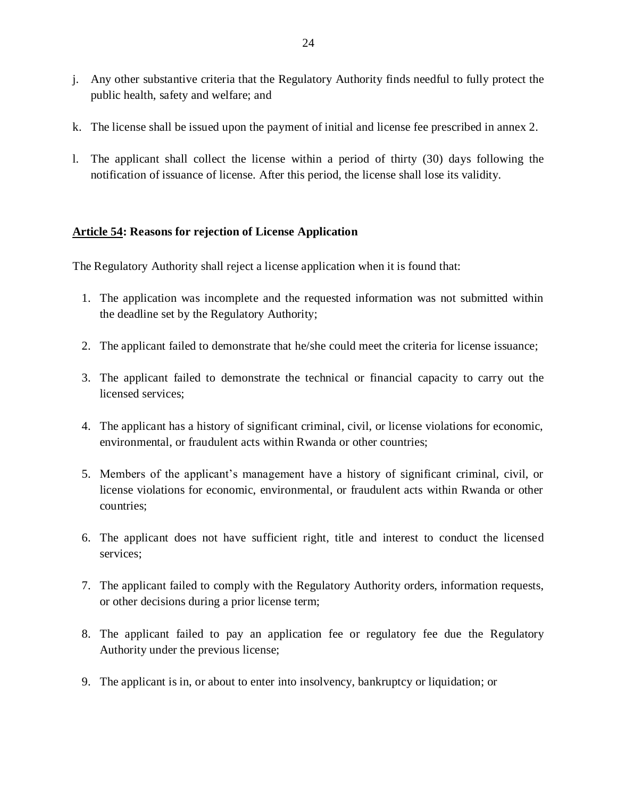- j. Any other substantive criteria that the Regulatory Authority finds needful to fully protect the public health, safety and welfare; and
- k. The license shall be issued upon the payment of initial and license fee prescribed in annex 2.
- l. The applicant shall collect the license within a period of thirty (30) days following the notification of issuance of license. After this period, the license shall lose its validity.

### <span id="page-23-0"></span>**Article 54: Reasons for rejection of License Application**

The Regulatory Authority shall reject a license application when it is found that:

- 1. The application was incomplete and the requested information was not submitted within the deadline set by the Regulatory Authority;
- 2. The applicant failed to demonstrate that he/she could meet the criteria for license issuance;
- 3. The applicant failed to demonstrate the technical or financial capacity to carry out the licensed services;
- 4. The applicant has a history of significant criminal, civil, or license violations for economic, environmental, or fraudulent acts within Rwanda or other countries;
- 5. Members of the applicant's management have a history of significant criminal, civil, or license violations for economic, environmental, or fraudulent acts within Rwanda or other countries;
- 6. The applicant does not have sufficient right, title and interest to conduct the licensed services;
- 7. The applicant failed to comply with the Regulatory Authority orders, information requests, or other decisions during a prior license term;
- 8. The applicant failed to pay an application fee or regulatory fee due the Regulatory Authority under the previous license;
- 9. The applicant is in, or about to enter into insolvency, bankruptcy or liquidation; or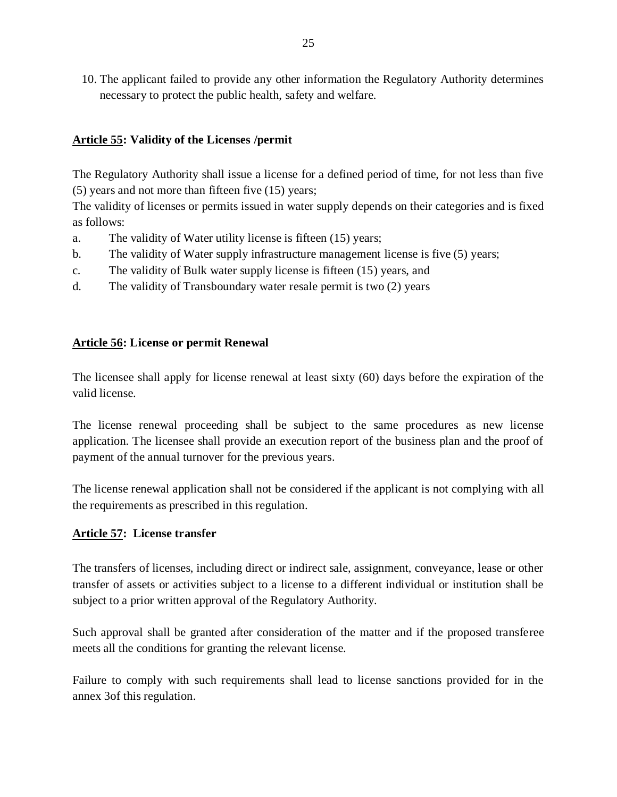10. The applicant failed to provide any other information the Regulatory Authority determines necessary to protect the public health, safety and welfare.

### <span id="page-24-0"></span>**Article 55: Validity of the Licenses /permit**

The Regulatory Authority shall issue a license for a defined period of time, for not less than five (5) years and not more than fifteen five (15) years;

The validity of licenses or permits issued in water supply depends on their categories and is fixed as follows:

- a. The validity of Water utility license is fifteen (15) years;
- b. The validity of Water supply infrastructure management license is five (5) years;
- c. The validity of Bulk water supply license is fifteen (15) years, and
- d. The validity of Transboundary water resale permit is two (2) years

### <span id="page-24-1"></span>**Article 56: License or permit Renewal**

The licensee shall apply for license renewal at least sixty (60) days before the expiration of the valid license.

The license renewal proceeding shall be subject to the same procedures as new license application. The licensee shall provide an execution report of the business plan and the proof of payment of the annual turnover for the previous years.

The license renewal application shall not be considered if the applicant is not complying with all the requirements as prescribed in this regulation.

### <span id="page-24-2"></span>**Article 57: License transfer**

The transfers of licenses, including direct or indirect sale, assignment, conveyance, lease or other transfer of assets or activities subject to a license to a different individual or institution shall be subject to a prior written approval of the Regulatory Authority.

Such approval shall be granted after consideration of the matter and if the proposed transferee meets all the conditions for granting the relevant license.

Failure to comply with such requirements shall lead to license sanctions provided for in the annex 3of this regulation.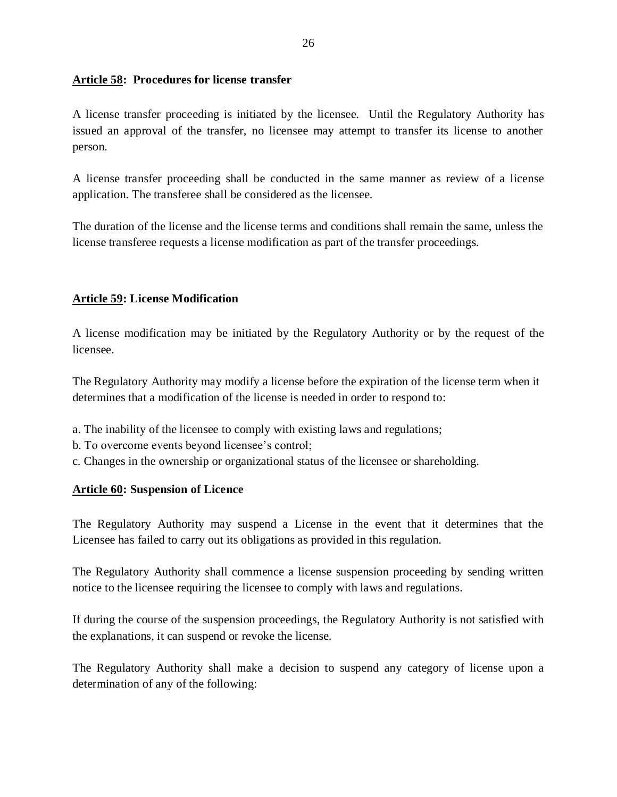#### <span id="page-25-0"></span>**Article 58: Procedures for license transfer**

A license transfer proceeding is initiated by the licensee. Until the Regulatory Authority has issued an approval of the transfer, no licensee may attempt to transfer its license to another person.

A license transfer proceeding shall be conducted in the same manner as review of a license application. The transferee shall be considered as the licensee.

The duration of the license and the license terms and conditions shall remain the same, unless the license transferee requests a license modification as part of the transfer proceedings.

## <span id="page-25-1"></span>**Article 59: License Modification**

A license modification may be initiated by the Regulatory Authority or by the request of the licensee.

The Regulatory Authority may modify a license before the expiration of the license term when it determines that a modification of the license is needed in order to respond to:

- a. The inability of the licensee to comply with existing laws and regulations;
- b. To overcome events beyond licensee's control;
- c. Changes in the ownership or organizational status of the licensee or shareholding.

### <span id="page-25-2"></span>**Article 60: Suspension of Licence**

The Regulatory Authority may suspend a License in the event that it determines that the Licensee has failed to carry out its obligations as provided in this regulation.

The Regulatory Authority shall commence a license suspension proceeding by sending written notice to the licensee requiring the licensee to comply with laws and regulations.

If during the course of the suspension proceedings, the Regulatory Authority is not satisfied with the explanations, it can suspend or revoke the license.

The Regulatory Authority shall make a decision to suspend any category of license upon a determination of any of the following: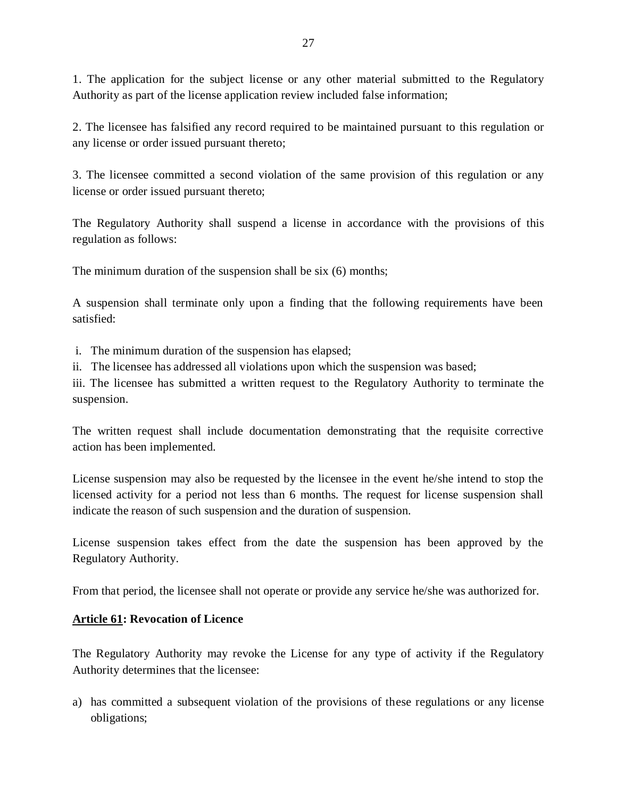1. The application for the subject license or any other material submitted to the Regulatory Authority as part of the license application review included false information;

2. The licensee has falsified any record required to be maintained pursuant to this regulation or any license or order issued pursuant thereto;

3. The licensee committed a second violation of the same provision of this regulation or any license or order issued pursuant thereto;

The Regulatory Authority shall suspend a license in accordance with the provisions of this regulation as follows:

The minimum duration of the suspension shall be six (6) months;

A suspension shall terminate only upon a finding that the following requirements have been satisfied:

i. The minimum duration of the suspension has elapsed;

ii. The licensee has addressed all violations upon which the suspension was based;

iii. The licensee has submitted a written request to the Regulatory Authority to terminate the suspension.

The written request shall include documentation demonstrating that the requisite corrective action has been implemented.

License suspension may also be requested by the licensee in the event he/she intend to stop the licensed activity for a period not less than 6 months. The request for license suspension shall indicate the reason of such suspension and the duration of suspension.

License suspension takes effect from the date the suspension has been approved by the Regulatory Authority.

From that period, the licensee shall not operate or provide any service he/she was authorized for.

### <span id="page-26-0"></span>**Article 61: Revocation of Licence**

The Regulatory Authority may revoke the License for any type of activity if the Regulatory Authority determines that the licensee:

a) has committed a subsequent violation of the provisions of these regulations or any license obligations;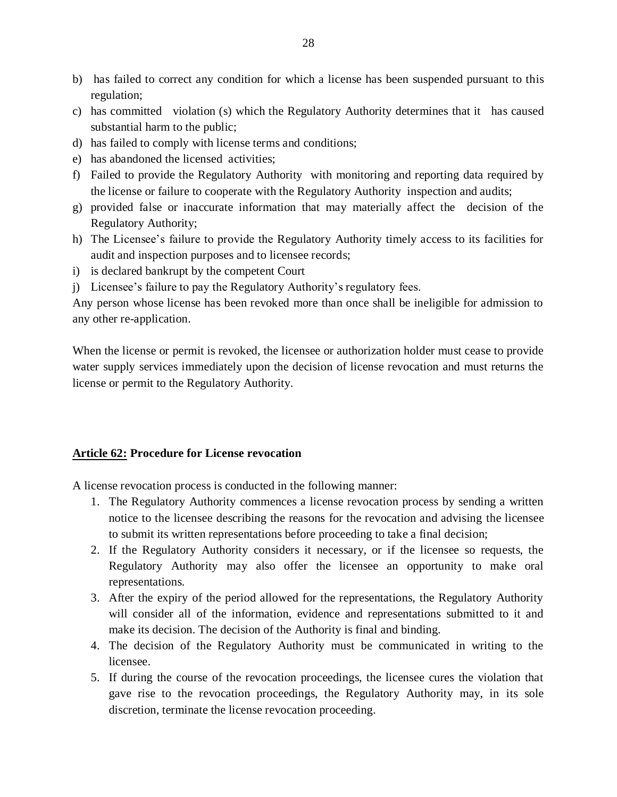- b) has failed to correct any condition for which a license has been suspended pursuant to this regulation;
- c) has committed violation (s) which the Regulatory Authority determines that it has caused substantial harm to the public;
- d) has failed to comply with license terms and conditions;
- e) has abandoned the licensed activities;
- f) Failed to provide the Regulatory Authority with monitoring and reporting data required by the license or failure to cooperate with the Regulatory Authority inspection and audits;
- g) provided false or inaccurate information that may materially affect the decision of the Regulatory Authority;
- h) The Licensee's failure to provide the Regulatory Authority timely access to its facilities for audit and inspection purposes and to licensee records;
- i) is declared bankrupt by the competent Court
- j) Licensee's failure to pay the Regulatory Authority's regulatory fees.

Any person whose license has been revoked more than once shall be ineligible for admission to any other re-application.

When the license or permit is revoked, the licensee or authorization holder must cease to provide water supply services immediately upon the decision of license revocation and must returns the license or permit to the Regulatory Authority.

#### <span id="page-27-0"></span>**Article 62: Procedure for License revocation**

A license revocation process is conducted in the following manner:

- 1. The Regulatory Authority commences a license revocation process by sending a written notice to the licensee describing the reasons for the revocation and advising the licensee to submit its written representations before proceeding to take a final decision;
- 2. If the Regulatory Authority considers it necessary, or if the licensee so requests, the Regulatory Authority may also offer the licensee an opportunity to make oral representations.
- 3. After the expiry of the period allowed for the representations, the Regulatory Authority will consider all of the information, evidence and representations submitted to it and make its decision. The decision of the Authority is final and binding.
- 4. The decision of the Regulatory Authority must be communicated in writing to the licensee.
- 5. If during the course of the revocation proceedings, the licensee cures the violation that gave rise to the revocation proceedings, the Regulatory Authority may, in its sole discretion, terminate the license revocation proceeding.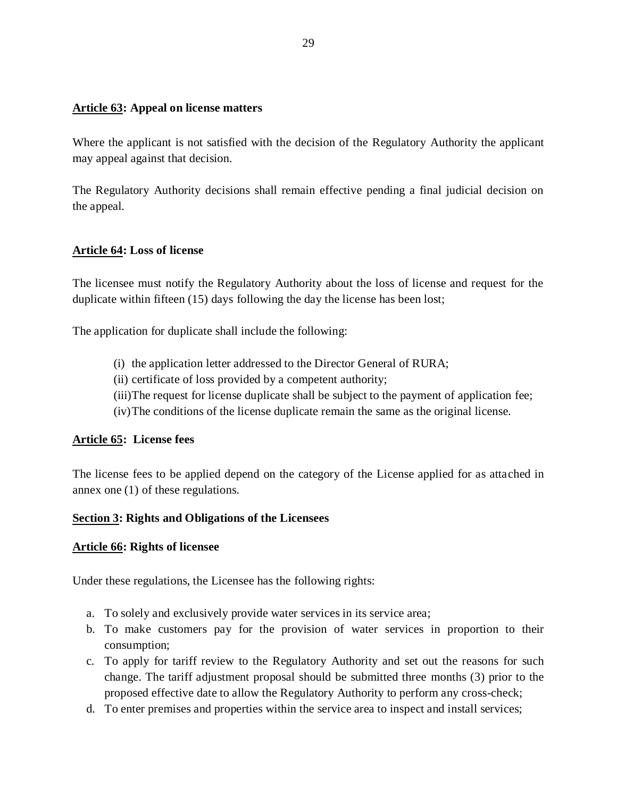#### <span id="page-28-0"></span>**Article 63: Appeal on license matters**

Where the applicant is not satisfied with the decision of the Regulatory Authority the applicant may appeal against that decision.

The Regulatory Authority decisions shall remain effective pending a final judicial decision on the appeal.

#### <span id="page-28-1"></span>**Article 64: Loss of license**

The licensee must notify the Regulatory Authority about the loss of license and request for the duplicate within fifteen (15) days following the day the license has been lost;

The application for duplicate shall include the following:

- (i) the application letter addressed to the Director General of RURA;
- (ii) certificate of loss provided by a competent authority;
- (iii)The request for license duplicate shall be subject to the payment of application fee;
- (iv)The conditions of the license duplicate remain the same as the original license.

#### <span id="page-28-2"></span>**Article 65: License fees**

The license fees to be applied depend on the category of the License applied for as attached in annex one (1) of these regulations.

#### <span id="page-28-3"></span>**Section 3: Rights and Obligations of the Licensees**

#### <span id="page-28-4"></span>**Article 66: Rights of licensee**

Under these regulations, the Licensee has the following rights:

- a. To solely and exclusively provide water services in its service area;
- b. To make customers pay for the provision of water services in proportion to their consumption;
- c. To apply for tariff review to the Regulatory Authority and set out the reasons for such change. The tariff adjustment proposal should be submitted three months (3) prior to the proposed effective date to allow the Regulatory Authority to perform any cross-check;
- d. To enter premises and properties within the service area to inspect and install services;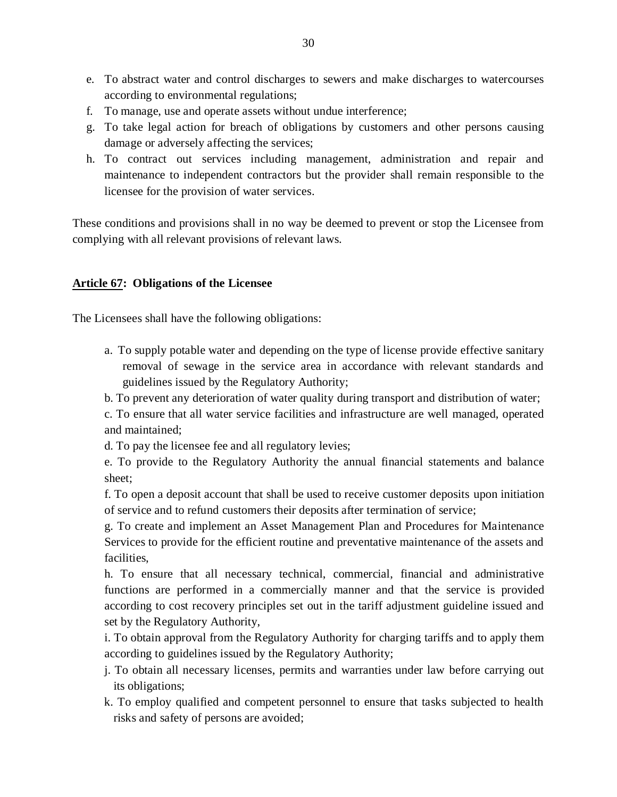- e. To abstract water and control discharges to sewers and make discharges to watercourses according to environmental regulations;
- f. To manage, use and operate assets without undue interference;
- g. To take legal action for breach of obligations by customers and other persons causing damage or adversely affecting the services;
- h. To contract out services including management, administration and repair and maintenance to independent contractors but the provider shall remain responsible to the licensee for the provision of water services.

These conditions and provisions shall in no way be deemed to prevent or stop the Licensee from complying with all relevant provisions of relevant laws.

#### <span id="page-29-0"></span>**Article 67: Obligations of the Licensee**

The Licensees shall have the following obligations:

- a. To supply potable water and depending on the type of license provide effective sanitary removal of sewage in the service area in accordance with relevant standards and guidelines issued by the Regulatory Authority;
- b. To prevent any deterioration of water quality during transport and distribution of water;

c. To ensure that all water service facilities and infrastructure are well managed, operated and maintained;

d. To pay the licensee fee and all regulatory levies;

e. To provide to the Regulatory Authority the annual financial statements and balance sheet;

f. To open a deposit account that shall be used to receive customer deposits upon initiation of service and to refund customers their deposits after termination of service;

g. To create and implement an Asset Management Plan and Procedures for Maintenance Services to provide for the efficient routine and preventative maintenance of the assets and facilities,

h. To ensure that all necessary technical, commercial, financial and administrative functions are performed in a commercially manner and that the service is provided according to cost recovery principles set out in the tariff adjustment guideline issued and set by the Regulatory Authority,

i. To obtain approval from the Regulatory Authority for charging tariffs and to apply them according to guidelines issued by the Regulatory Authority;

- j. To obtain all necessary licenses, permits and warranties under law before carrying out its obligations;
- k. To employ qualified and competent personnel to ensure that tasks subjected to health risks and safety of persons are avoided;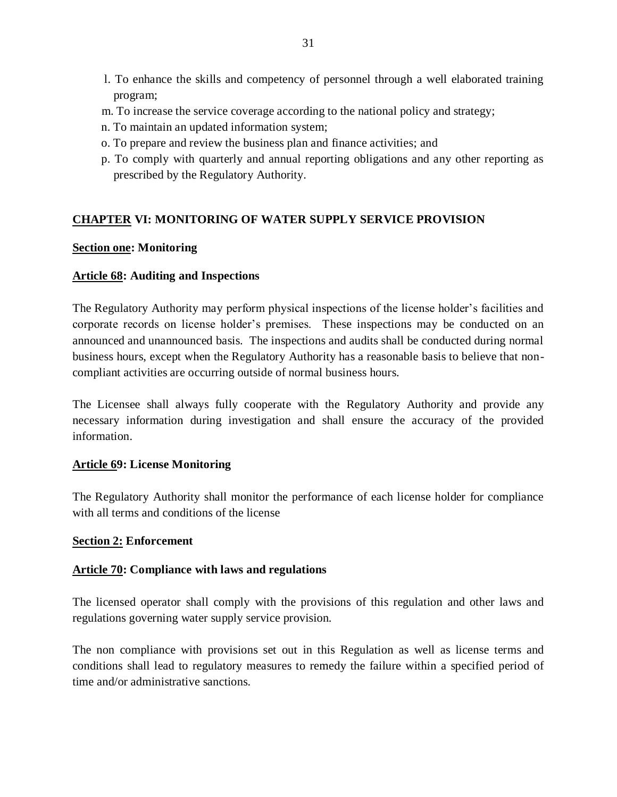- l. To enhance the skills and competency of personnel through a well elaborated training program;
- m. To increase the service coverage according to the national policy and strategy;
- n. To maintain an updated information system;
- o. To prepare and review the business plan and finance activities; and
- p. To comply with quarterly and annual reporting obligations and any other reporting as prescribed by the Regulatory Authority.

#### <span id="page-30-0"></span>**CHAPTER VI: MONITORING OF WATER SUPPLY SERVICE PROVISION**

#### <span id="page-30-1"></span>**Section one: Monitoring**

#### <span id="page-30-2"></span>**Article 68: Auditing and Inspections**

The Regulatory Authority may perform physical inspections of the license holder's facilities and corporate records on license holder's premises. These inspections may be conducted on an announced and unannounced basis. The inspections and audits shall be conducted during normal business hours, except when the Regulatory Authority has a reasonable basis to believe that noncompliant activities are occurring outside of normal business hours.

The Licensee shall always fully cooperate with the Regulatory Authority and provide any necessary information during investigation and shall ensure the accuracy of the provided information.

#### <span id="page-30-3"></span>**Article 69: License Monitoring**

The Regulatory Authority shall monitor the performance of each license holder for compliance with all terms and conditions of the license

#### <span id="page-30-4"></span>**Section 2: Enforcement**

#### <span id="page-30-5"></span>**Article 70: Compliance with laws and regulations**

The licensed operator shall comply with the provisions of this regulation and other laws and regulations governing water supply service provision.

The non compliance with provisions set out in this Regulation as well as license terms and conditions shall lead to regulatory measures to remedy the failure within a specified period of time and/or administrative sanctions.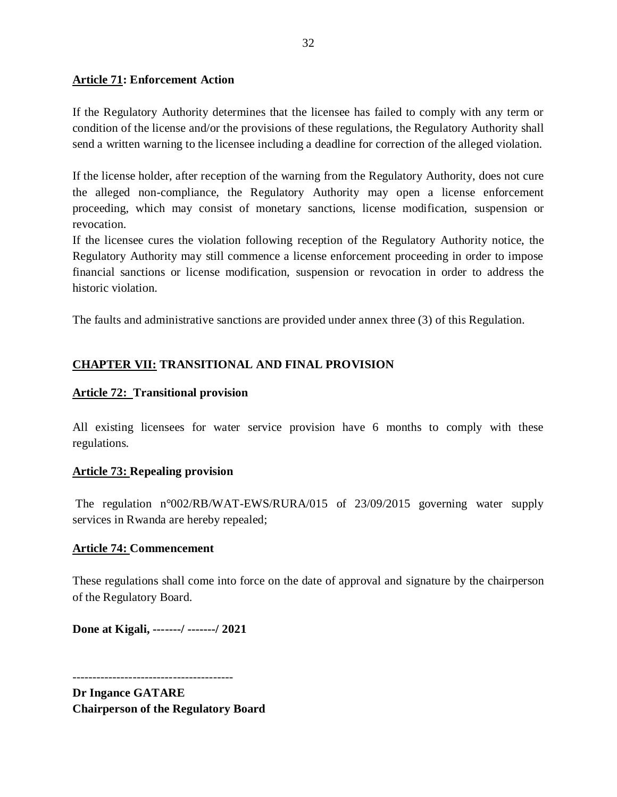#### <span id="page-31-0"></span>**Article 71: Enforcement Action**

If the Regulatory Authority determines that the licensee has failed to comply with any term or condition of the license and/or the provisions of these regulations, the Regulatory Authority shall send a written warning to the licensee including a deadline for correction of the alleged violation.

If the license holder, after reception of the warning from the Regulatory Authority, does not cure the alleged non-compliance, the Regulatory Authority may open a license enforcement proceeding, which may consist of monetary sanctions, license modification, suspension or revocation.

If the licensee cures the violation following reception of the Regulatory Authority notice, the Regulatory Authority may still commence a license enforcement proceeding in order to impose financial sanctions or license modification, suspension or revocation in order to address the historic violation.

The faults and administrative sanctions are provided under annex three (3) of this Regulation.

### <span id="page-31-1"></span>**CHAPTER VII: TRANSITIONAL AND FINAL PROVISION**

#### <span id="page-31-2"></span>**Article 72: Transitional provision**

All existing licensees for water service provision have 6 months to comply with these regulations.

#### <span id="page-31-3"></span>**Article 73: Repealing provision**

The regulation n°002/RB/WAT-EWS/RURA/015 of 23/09/2015 governing water supply services in Rwanda are hereby repealed;

#### <span id="page-31-4"></span>**Article 74: Commencement**

These regulations shall come into force on the date of approval and signature by the chairperson of the Regulatory Board.

**Done at Kigali, -------/ -------/ 2021**

**Dr Ingance GATARE Chairperson of the Regulatory Board**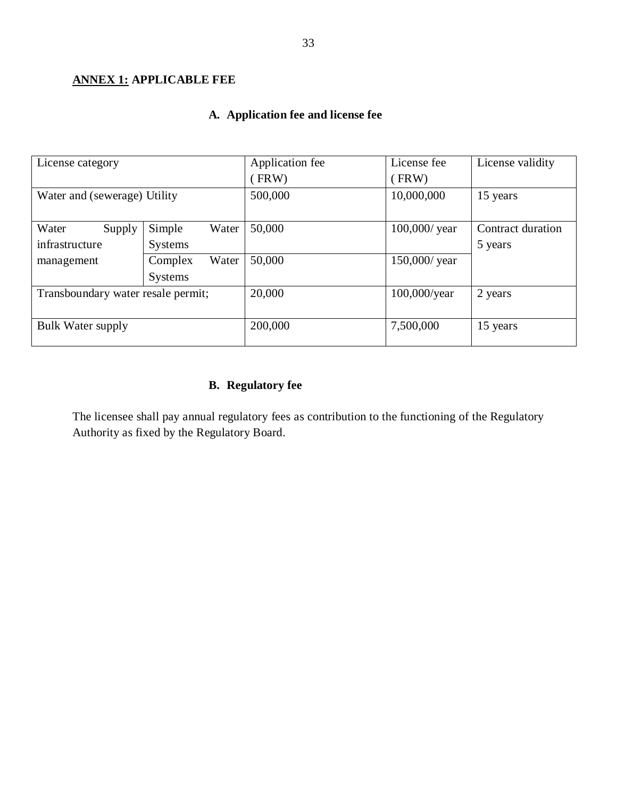# <span id="page-32-0"></span>**ANNEX 1: APPLICABLE FEE**

# **A. Application fee and license fee**

| License category                   |                  | Application fee | License fee      | License validity  |
|------------------------------------|------------------|-----------------|------------------|-------------------|
|                                    |                  | FRW)            | (FRW)            |                   |
| Water and (sewerage) Utility       |                  | 500,000         | 10,000,000       | 15 years          |
|                                    |                  |                 |                  |                   |
| Water<br>Supply                    | Simple<br>Water  | 50,000          | $100,000$ / year | Contract duration |
| infrastructure                     | <b>Systems</b>   |                 |                  | 5 years           |
| management                         | Water<br>Complex | 50,000          | 150,000/ year    |                   |
|                                    | <b>Systems</b>   |                 |                  |                   |
| Transboundary water resale permit; |                  | 20,000          | $100,000$ /year  | 2 years           |
|                                    |                  |                 |                  |                   |
| <b>Bulk Water supply</b>           |                  | 200,000         | 7,500,000        | 15 years          |
|                                    |                  |                 |                  |                   |

# **B. Regulatory fee**

The licensee shall pay annual regulatory fees as contribution to the functioning of the Regulatory Authority as fixed by the Regulatory Board.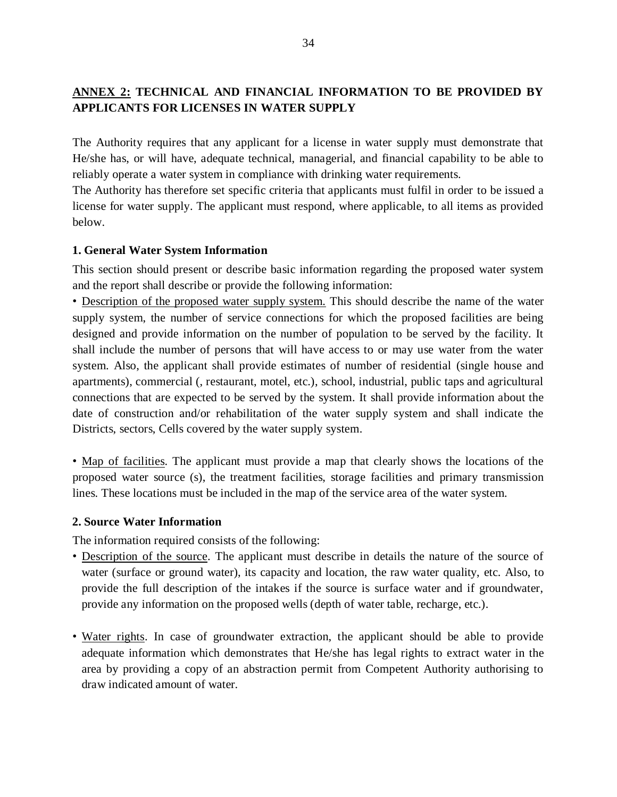# <span id="page-33-0"></span>**ANNEX 2: TECHNICAL AND FINANCIAL INFORMATION TO BE PROVIDED BY APPLICANTS FOR LICENSES IN WATER SUPPLY**

The Authority requires that any applicant for a license in water supply must demonstrate that He/she has, or will have, adequate technical, managerial, and financial capability to be able to reliably operate a water system in compliance with drinking water requirements.

The Authority has therefore set specific criteria that applicants must fulfil in order to be issued a license for water supply. The applicant must respond, where applicable, to all items as provided below.

#### <span id="page-33-1"></span>**1. General Water System Information**

This section should present or describe basic information regarding the proposed water system and the report shall describe or provide the following information:

• Description of the proposed water supply system. This should describe the name of the water supply system, the number of service connections for which the proposed facilities are being designed and provide information on the number of population to be served by the facility. It shall include the number of persons that will have access to or may use water from the water system. Also, the applicant shall provide estimates of number of residential (single house and apartments), commercial (, restaurant, motel, etc.), school, industrial, public taps and agricultural connections that are expected to be served by the system. It shall provide information about the date of construction and/or rehabilitation of the water supply system and shall indicate the Districts, sectors, Cells covered by the water supply system.

• Map of facilities. The applicant must provide a map that clearly shows the locations of the proposed water source (s), the treatment facilities, storage facilities and primary transmission lines. These locations must be included in the map of the service area of the water system.

#### <span id="page-33-2"></span>**2. Source Water Information**

The information required consists of the following:

- Description of the source. The applicant must describe in details the nature of the source of water (surface or ground water), its capacity and location, the raw water quality, etc. Also, to provide the full description of the intakes if the source is surface water and if groundwater, provide any information on the proposed wells (depth of water table, recharge, etc.).
- Water rights. In case of groundwater extraction, the applicant should be able to provide adequate information which demonstrates that He/she has legal rights to extract water in the area by providing a copy of an abstraction permit from Competent Authority authorising to draw indicated amount of water.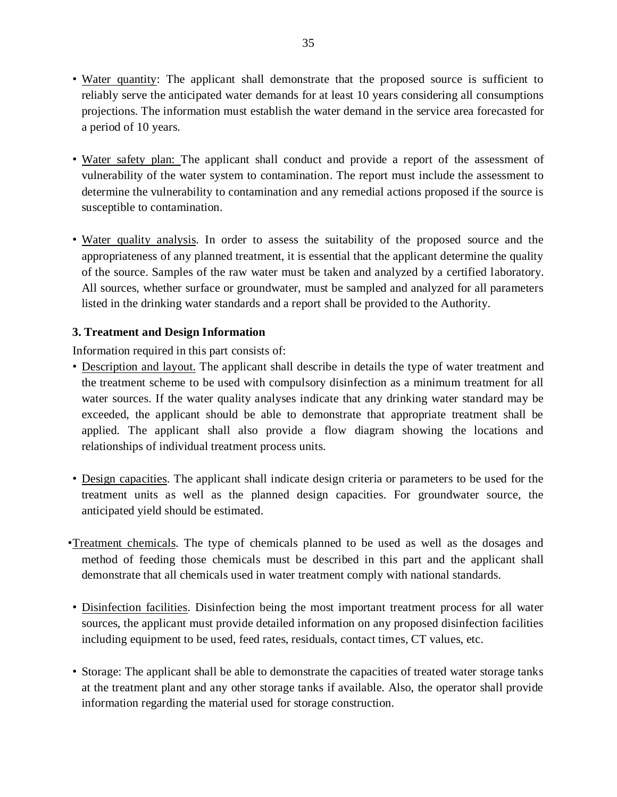- Water quantity: The applicant shall demonstrate that the proposed source is sufficient to reliably serve the anticipated water demands for at least 10 years considering all consumptions projections. The information must establish the water demand in the service area forecasted for a period of 10 years.
- Water safety plan: The applicant shall conduct and provide a report of the assessment of vulnerability of the water system to contamination. The report must include the assessment to determine the vulnerability to contamination and any remedial actions proposed if the source is susceptible to contamination.
- Water quality analysis. In order to assess the suitability of the proposed source and the appropriateness of any planned treatment, it is essential that the applicant determine the quality of the source. Samples of the raw water must be taken and analyzed by a certified laboratory. All sources, whether surface or groundwater, must be sampled and analyzed for all parameters listed in the drinking water standards and a report shall be provided to the Authority.

### <span id="page-34-0"></span>**3. Treatment and Design Information**

Information required in this part consists of:

- Description and layout. The applicant shall describe in details the type of water treatment and the treatment scheme to be used with compulsory disinfection as a minimum treatment for all water sources. If the water quality analyses indicate that any drinking water standard may be exceeded, the applicant should be able to demonstrate that appropriate treatment shall be applied. The applicant shall also provide a flow diagram showing the locations and relationships of individual treatment process units.
- Design capacities. The applicant shall indicate design criteria or parameters to be used for the treatment units as well as the planned design capacities. For groundwater source, the anticipated yield should be estimated.
- •Treatment chemicals. The type of chemicals planned to be used as well as the dosages and method of feeding those chemicals must be described in this part and the applicant shall demonstrate that all chemicals used in water treatment comply with national standards.
- Disinfection facilities. Disinfection being the most important treatment process for all water sources, the applicant must provide detailed information on any proposed disinfection facilities including equipment to be used, feed rates, residuals, contact times, CT values, etc.
- Storage: The applicant shall be able to demonstrate the capacities of treated water storage tanks at the treatment plant and any other storage tanks if available. Also, the operator shall provide information regarding the material used for storage construction.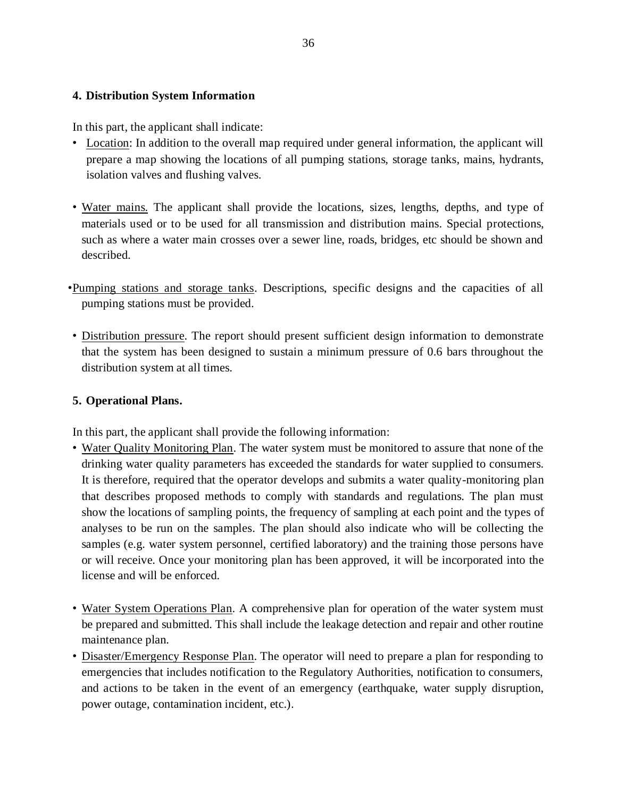#### **4. Distribution System Information**

In this part, the applicant shall indicate:

- Location: In addition to the overall map required under general information, the applicant will prepare a map showing the locations of all pumping stations, storage tanks, mains, hydrants, isolation valves and flushing valves.
- Water mains. The applicant shall provide the locations, sizes, lengths, depths, and type of materials used or to be used for all transmission and distribution mains. Special protections, such as where a water main crosses over a sewer line, roads, bridges, etc should be shown and described.
- •Pumping stations and storage tanks. Descriptions, specific designs and the capacities of all pumping stations must be provided.
- Distribution pressure. The report should present sufficient design information to demonstrate that the system has been designed to sustain a minimum pressure of 0.6 bars throughout the distribution system at all times.

### **5. Operational Plans.**

In this part, the applicant shall provide the following information:

- Water Quality Monitoring Plan. The water system must be monitored to assure that none of the drinking water quality parameters has exceeded the standards for water supplied to consumers. It is therefore, required that the operator develops and submits a water quality-monitoring plan that describes proposed methods to comply with standards and regulations. The plan must show the locations of sampling points, the frequency of sampling at each point and the types of analyses to be run on the samples. The plan should also indicate who will be collecting the samples (e.g. water system personnel, certified laboratory) and the training those persons have or will receive. Once your monitoring plan has been approved, it will be incorporated into the license and will be enforced.
- Water System Operations Plan. A comprehensive plan for operation of the water system must be prepared and submitted. This shall include the leakage detection and repair and other routine maintenance plan.
- Disaster/Emergency Response Plan. The operator will need to prepare a plan for responding to emergencies that includes notification to the Regulatory Authorities, notification to consumers, and actions to be taken in the event of an emergency (earthquake, water supply disruption, power outage, contamination incident, etc.).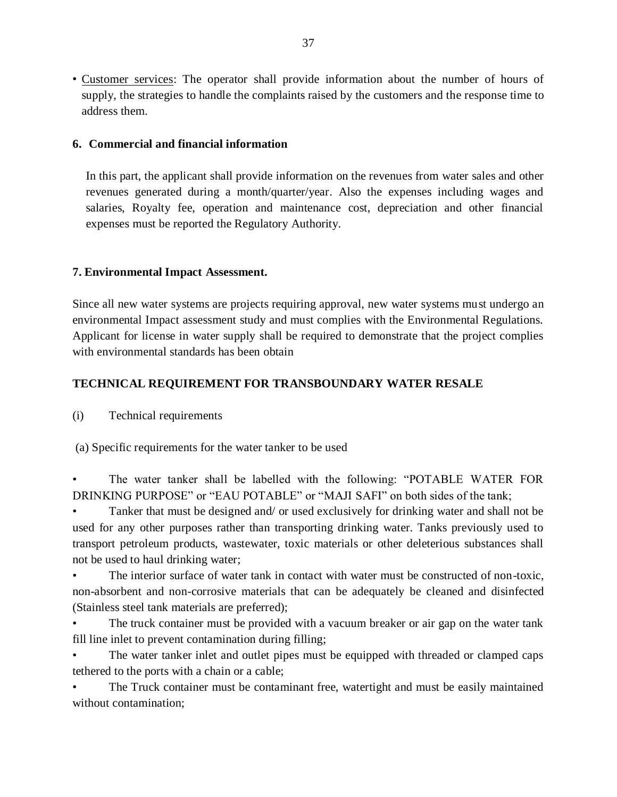• Customer services: The operator shall provide information about the number of hours of supply, the strategies to handle the complaints raised by the customers and the response time to address them.

#### **6. Commercial and financial information**

In this part, the applicant shall provide information on the revenues from water sales and other revenues generated during a month/quarter/year. Also the expenses including wages and salaries, Royalty fee, operation and maintenance cost, depreciation and other financial expenses must be reported the Regulatory Authority.

#### **7. Environmental Impact Assessment.**

Since all new water systems are projects requiring approval, new water systems must undergo an environmental Impact assessment study and must complies with the Environmental Regulations. Applicant for license in water supply shall be required to demonstrate that the project complies with environmental standards has been obtain

### **TECHNICAL REQUIREMENT FOR TRANSBOUNDARY WATER RESALE**

(i) Technical requirements

(a) Specific requirements for the water tanker to be used

• The water tanker shall be labelled with the following: "POTABLE WATER FOR DRINKING PURPOSE" or "EAU POTABLE" or "MAJI SAFI" on both sides of the tank;

• Tanker that must be designed and/ or used exclusively for drinking water and shall not be used for any other purposes rather than transporting drinking water. Tanks previously used to transport petroleum products, wastewater, toxic materials or other deleterious substances shall not be used to haul drinking water;

The interior surface of water tank in contact with water must be constructed of non-toxic, non-absorbent and non-corrosive materials that can be adequately be cleaned and disinfected (Stainless steel tank materials are preferred);

The truck container must be provided with a vacuum breaker or air gap on the water tank fill line inlet to prevent contamination during filling;

The water tanker inlet and outlet pipes must be equipped with threaded or clamped caps tethered to the ports with a chain or a cable;

• The Truck container must be contaminant free, watertight and must be easily maintained without contamination;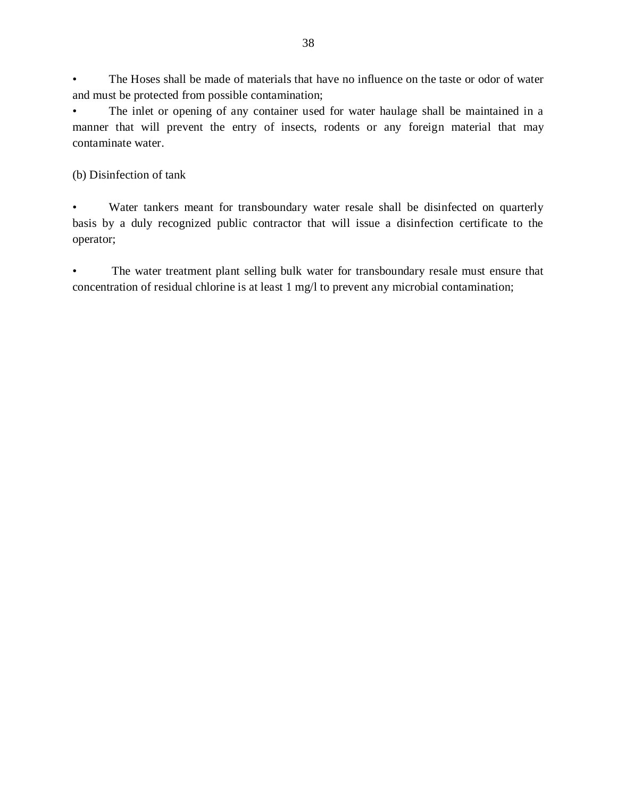The Hoses shall be made of materials that have no influence on the taste or odor of water and must be protected from possible contamination;

The inlet or opening of any container used for water haulage shall be maintained in a manner that will prevent the entry of insects, rodents or any foreign material that may contaminate water.

(b) Disinfection of tank

Water tankers meant for transboundary water resale shall be disinfected on quarterly basis by a duly recognized public contractor that will issue a disinfection certificate to the operator;

The water treatment plant selling bulk water for transboundary resale must ensure that concentration of residual chlorine is at least 1 mg/l to prevent any microbial contamination;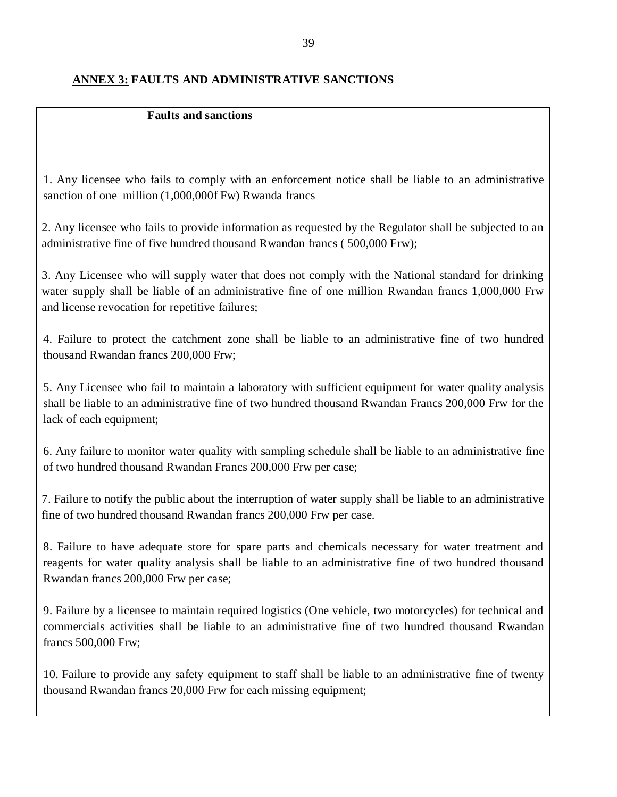#### <span id="page-38-0"></span>**ANNEX 3: FAULTS AND ADMINISTRATIVE SANCTIONS**

#### **Faults and sanctions**

1. Any licensee who fails to comply with an enforcement notice shall be liable to an administrative sanction of one million (1,000,000f Fw) Rwanda francs

2. Any licensee who fails to provide information as requested by the Regulator shall be subjected to an administrative fine of five hundred thousand Rwandan francs ( 500,000 Frw);

3. Any Licensee who will supply water that does not comply with the National standard for drinking water supply shall be liable of an administrative fine of one million Rwandan francs 1,000,000 Frw and license revocation for repetitive failures;

4. Failure to protect the catchment zone shall be liable to an administrative fine of two hundred thousand Rwandan francs 200,000 Frw;

5. Any Licensee who fail to maintain a laboratory with sufficient equipment for water quality analysis shall be liable to an administrative fine of two hundred thousand Rwandan Francs 200,000 Frw for the lack of each equipment;

6. Any failure to monitor water quality with sampling schedule shall be liable to an administrative fine of two hundred thousand Rwandan Francs 200,000 Frw per case;

7. Failure to notify the public about the interruption of water supply shall be liable to an administrative fine of two hundred thousand Rwandan francs 200,000 Frw per case.

8. Failure to have adequate store for spare parts and chemicals necessary for water treatment and reagents for water quality analysis shall be liable to an administrative fine of two hundred thousand Rwandan francs 200,000 Frw per case;

9. Failure by a licensee to maintain required logistics (One vehicle, two motorcycles) for technical and commercials activities shall be liable to an administrative fine of two hundred thousand Rwandan francs 500,000 Frw;

10. Failure to provide any safety equipment to staff shall be liable to an administrative fine of twenty thousand Rwandan francs 20,000 Frw for each missing equipment;